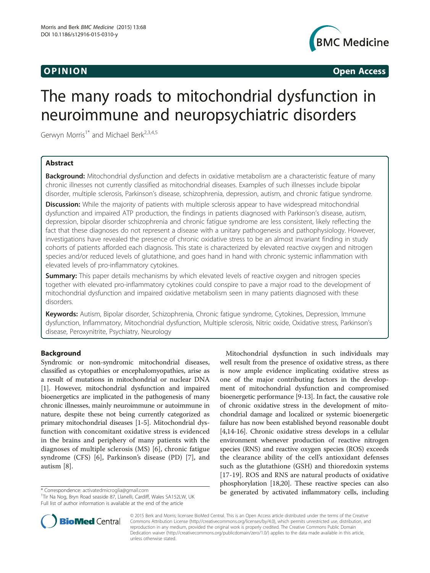

**OPINION** CONSIDERED AT A CONSIDERED ASSESSED AND THE OPEN ACCESS OPEN ACCESS OPEN ACCESS

# The many roads to mitochondrial dysfunction in neuroimmune and neuropsychiatric disorders

Gerwyn Morris<sup>1\*</sup> and Michael Berk<sup>2,3,4,5</sup>

### Abstract

**Background:** Mitochondrial dysfunction and defects in oxidative metabolism are a characteristic feature of many chronic illnesses not currently classified as mitochondrial diseases. Examples of such illnesses include bipolar disorder, multiple sclerosis, Parkinson's disease, schizophrenia, depression, autism, and chronic fatigue syndrome.

**Discussion:** While the majority of patients with multiple sclerosis appear to have widespread mitochondrial dysfunction and impaired ATP production, the findings in patients diagnosed with Parkinson's disease, autism, depression, bipolar disorder schizophrenia and chronic fatigue syndrome are less consistent, likely reflecting the fact that these diagnoses do not represent a disease with a unitary pathogenesis and pathophysiology. However, investigations have revealed the presence of chronic oxidative stress to be an almost invariant finding in study cohorts of patients afforded each diagnosis. This state is characterized by elevated reactive oxygen and nitrogen species and/or reduced levels of glutathione, and goes hand in hand with chronic systemic inflammation with elevated levels of pro-inflammatory cytokines.

**Summary:** This paper details mechanisms by which elevated levels of reactive oxygen and nitrogen species together with elevated pro-inflammatory cytokines could conspire to pave a major road to the development of mitochondrial dysfunction and impaired oxidative metabolism seen in many patients diagnosed with these disorders.

Keywords: Autism, Bipolar disorder, Schizophrenia, Chronic fatique syndrome, Cytokines, Depression, Immune dysfunction, Inflammatory, Mitochondrial dysfunction, Multiple sclerosis, Nitric oxide, Oxidative stress, Parkinson's disease, Peroxynitrite, Psychiatry, Neurology

### Background

Syndromic or non-syndromic mitochondrial diseases, classified as cytopathies or encephalomyopathies, arise as a result of mutations in mitochondrial or nuclear DNA [[1\]](#page-13-0). However, mitochondrial dysfunction and impaired bioenergetics are implicated in the pathogenesis of many chronic illnesses, mainly neuroimmune or autoimmune in nature, despite these not being currently categorized as primary mitochondrial diseases [[1-5\]](#page-13-0). Mitochondrial dysfunction with concomitant oxidative stress is evidenced in the brains and periphery of many patients with the diagnoses of multiple sclerosis (MS) [\[6](#page-13-0)], chronic fatigue syndrome (CFS) [\[6](#page-13-0)], Parkinson's disease (PD) [\[7](#page-13-0)], and autism [[8\]](#page-13-0).

<sup>&</sup>lt;sup>1</sup>Tir Na Nog, Bryn Road seaside 87, Llanelli, Cardiff, Wales SA152LW, UK Full list of author information is available at the end of the article





© 2015 Berk and Morris; licensee BioMed Central. This is an Open Access article distributed under the terms of the Creative Commons Attribution License [\(http://creativecommons.org/licenses/by/4.0\)](http://creativecommons.org/licenses/by/4.0), which permits unrestricted use, distribution, and reproduction in any medium, provided the original work is properly credited. The Creative Commons Public Domain Dedication waiver [\(http://creativecommons.org/publicdomain/zero/1.0/](http://creativecommons.org/publicdomain/zero/1.0/)) applies to the data made available in this article, unless otherwise stated.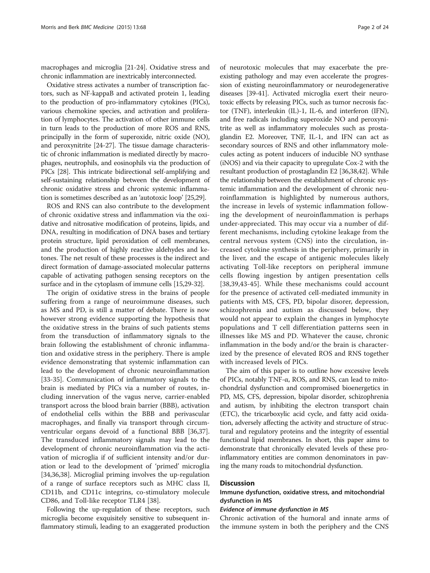macrophages and microglia [[21-24\]](#page-13-0). Oxidative stress and chronic inflammation are inextricably interconnected.

Oxidative stress activates a number of transcription factors, such as NF-kappaB and activated protein 1, leading to the production of pro-inflammatory cytokines (PICs), various chemokine species, and activation and proliferation of lymphocytes. The activation of other immune cells in turn leads to the production of more ROS and RNS, principally in the form of superoxide, nitric oxide (NO), and peroxynitrite [[24-27\]](#page-13-0). The tissue damage characteristic of chronic inflammation is mediated directly by macrophages, neutrophils, and eosinophils via the production of PICs [\[28](#page-13-0)]. This intricate bidirectional self-amplifying and self-sustaining relationship between the development of chronic oxidative stress and chronic systemic inflammation is sometimes described as an 'autotoxic loop' [\[25,29\]](#page-13-0).

ROS and RNS can also contribute to the development of chronic oxidative stress and inflammation via the oxidative and nitrosative modification of proteins, lipids, and DNA, resulting in modification of DNA bases and tertiary protein structure, lipid peroxidation of cell membranes, and the production of highly reactive aldehydes and ketones. The net result of these processes is the indirect and direct formation of damage-associated molecular patterns capable of activating pathogen sensing receptors on the surface and in the cytoplasm of immune cells [[15,29-32](#page-13-0)].

The origin of oxidative stress in the brains of people suffering from a range of neuroimmune diseases, such as MS and PD, is still a matter of debate. There is now however strong evidence supporting the hypothesis that the oxidative stress in the brains of such patients stems from the transduction of inflammatory signals to the brain following the establishment of chronic inflammation and oxidative stress in the periphery. There is ample evidence demonstrating that systemic inflammation can lead to the development of chronic neuroinflammation [[33-35](#page-13-0)]. Communication of inflammatory signals to the brain is mediated by PICs via a number of routes, including innervation of the vagus nerve, carrier-enabled transport across the blood brain barrier (BBB), activation of endothelial cells within the BBB and perivascular macrophages, and finally via transport through circumventricular organs devoid of a functional BBB [\[36,37](#page-13-0)]. The transduced inflammatory signals may lead to the development of chronic neuroinflammation via the activation of microglia if of sufficient intensity and/or duration or lead to the development of 'primed' microglia [[34,36,38\]](#page-13-0). Microglial priming involves the up-regulation of a range of surface receptors such as MHC class II, CD11b, and CD11c integrins, co-stimulatory molecule CD86, and Toll-like receptor TLR4 [\[38](#page-13-0)].

Following the up-regulation of these receptors, such microglia become exquisitely sensitive to subsequent inflammatory stimuli, leading to an exaggerated production

of neurotoxic molecules that may exacerbate the preexisting pathology and may even accelerate the progression of existing neuroinflammatory or neurodegenerative diseases [[39](#page-13-0)-[41](#page-13-0)]. Activated microglia exert their neurotoxic effects by releasing PICs, such as tumor necrosis factor (TNF), interleukin (IL)-1, IL-6, and interferon (IFN), and free radicals including superoxide NO and peroxynitrite as well as inflammatory molecules such as prostaglandin E2. Moreover, TNF, IL-1, and IFN can act as secondary sources of RNS and other inflammatory molecules acting as potent inducers of inducible NO synthase (iNOS) and via their capacity to upregulate Cox-2 with the resultant production of prostaglandin E2 [\[36,38,42](#page-13-0)]. While the relationship between the establishment of chronic systemic inflammation and the development of chronic neuroinflammation is highlighted by numerous authors, the increase in levels of systemic inflammation following the development of neuroinflammation is perhaps under-appreciated. This may occur via a number of different mechanisms, including cytokine leakage from the central nervous system (CNS) into the circulation, increased cytokine synthesis in the periphery, primarily in the liver, and the escape of antigenic molecules likely activating Toll-like receptors on peripheral immune cells flowing ingestion by antigen presentation cells [[38,39,43-45](#page-13-0)]. While these mechanisms could account for the presence of activated cell-mediated immunity in patients with MS, CFS, PD, bipolar disorer, depression, schizophrenia and autism as discussed below, they would not appear to explain the changes in lymphocyte populations and T cell differentiation patterns seen in illnesses like MS and PD. Whatever the cause, chronic inflammation in the body and/or the brain is characterized by the presence of elevated ROS and RNS together with increased levels of PICs.

The aim of this paper is to outline how excessive levels of PICs, notably TNF-α, ROS, and RNS, can lead to mitochondrial dysfunction and compromised bioenergetics in PD, MS, CFS, depression, bipolar disorder, schizophrenia and autism, by inhibiting the electron transport chain (ETC), the tricarboxylic acid cycle, and fatty acid oxidation, adversely affecting the activity and structure of structural and regulatory proteins and the integrity of essential functional lipid membranes. In short, this paper aims to demonstrate that chronically elevated levels of these proinflammatory entities are common denominators in paving the many roads to mitochondrial dysfunction.

### **Discussion**

#### Immune dysfunction, oxidative stress, and mitochondrial dysfunction in MS

#### Evidence of immune dysfunction in MS

Chronic activation of the humoral and innate arms of the immune system in both the periphery and the CNS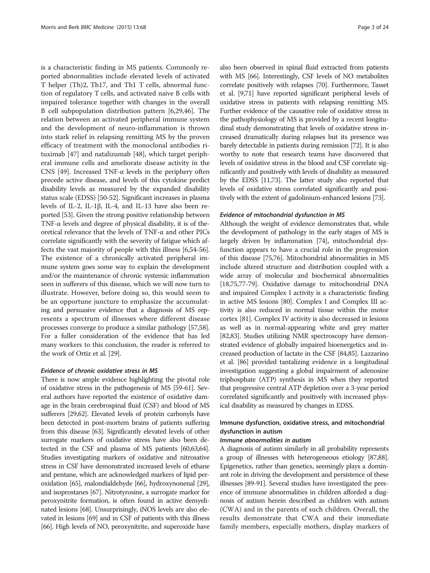is a characteristic finding in MS patients. Commonly reported abnormalities include elevated levels of activated T helper (Th)2, Th17, and Th1 T cells, abnormal function of regulatory T cells, and activated naive B cells with impaired tolerance together with changes in the overall B cell subpopulation distribution pattern [\[6,29,46\]](#page-13-0). The relation between an activated peripheral immune system and the development of neuro-inflammation is thrown into stark relief in relapsing remitting MS by the proven efficacy of treatment with the monoclonal antibodies rituximab [[47\]](#page-13-0) and natalizumab [[48](#page-13-0)], which target peripheral immune cells and ameliorate disease activity in the CNS [\[49\]](#page-13-0). Increased TNF-α levels in the periphery often precede active disease, and levels of this cytokine predict disability levels as measured by the expanded disability status scale (EDSS) [\[50](#page-13-0)[-52\]](#page-14-0). Significant increases in plasma levels of IL-2, IL-1β, IL-4, and IL-13 have also been reported [\[53](#page-14-0)]. Given the strong positive relationship between TNF- $\alpha$  levels and degree of physical disability, it is of theoretical relevance that the levels of TNF-α and other PICs correlate significantly with the severity of fatigue which affects the vast majority of people with this illness [[6,](#page-13-0)[54](#page-14-0)-[56](#page-14-0)]. The existence of a chronically activated peripheral immune system goes some way to explain the development and/or the maintenance of chronic systemic inflammation seen in sufferers of this disease, which we will now turn to illustrate. However, before doing so, this would seem to be an opportune juncture to emphasize the accumulating and persuasive evidence that a diagnosis of MS represents a spectrum of illnesses where different disease processes converge to produce a similar pathology [\[57,58](#page-14-0)]. For a fuller consideration of the evidence that has led many workers to this conclusion, the reader is referred to the work of Ortiz et al. [\[29\]](#page-13-0).

### Evidence of chronic oxidative stress in MS

There is now ample evidence highlighting the pivotal role of oxidative stress in the pathogenesis of MS [[59](#page-14-0)-[61](#page-14-0)]. Several authors have reported the existence of oxidative damage in the brain cerebrospinal fluid (CSF) and blood of MS sufferers [[29](#page-13-0)[,62](#page-14-0)]. Elevated levels of protein carbonyls have been detected in post-mortem brains of patients suffering from this disease [\[63\]](#page-14-0). Significantly elevated levels of other surrogate markers of oxidative stress have also been detected in the CSF and plasma of MS patients [\[60,63,64](#page-14-0)]. Studies investigating markers of oxidative and nitrosative stress in CSF have demonstrated increased levels of ethane and pentane, which are acknowledged markers of lipid peroxidation [\[65\]](#page-14-0), malondialdehyde [\[66\]](#page-14-0), hydroxynonenal [\[29](#page-13-0)], and isoprostanes [\[67](#page-14-0)]. Nitrotyrosine, a surrogate marker for peroxynitrite formation, is often found in active demyelinated lesions [[68](#page-14-0)]. Unsurprisingly, iNOS levels are also elevated in lesions [\[69](#page-14-0)] and in CSF of patients with this illness [[66](#page-14-0)]. High levels of NO, peroxynitrite, and superoxide have

also been observed in spinal fluid extracted from patients with MS [\[66\]](#page-14-0). Interestingly, CSF levels of NO metabolites correlate positively with relapses [\[70](#page-14-0)]. Furthermore, Tasset et al. [[9](#page-13-0)[,71\]](#page-14-0) have reported significant peripheral levels of oxidative stress in patients with relapsing remitting MS. Further evidence of the causative role of oxidative stress in the pathophysiology of MS is provided by a recent longitudinal study demonstrating that levels of oxidative stress increased dramatically during relapses but its presence was barely detectable in patients during remission [[72](#page-14-0)]. It is also worthy to note that research teams have discovered that levels of oxidative stress in the blood and CSF correlate significantly and positively with levels of disability as measured by the EDSS [\[11](#page-13-0)[,73\]](#page-14-0). The latter study also reported that levels of oxidative stress correlated significantly and positively with the extent of gadolinium-enhanced lesions [\[73\]](#page-14-0).

#### Evidence of mitochondrial dysfunction in MS

Although the weight of evidence demonstrates that, while the development of pathology in the early stages of MS is largely driven by inflammation [\[74\]](#page-14-0), mitochondrial dysfunction appears to have a crucial role in the progression of this disease [\[75,76](#page-14-0)]. Mitochondrial abnormalities in MS include altered structure and distribution coupled with a wide array of molecular and biochemical abnormalities [[18](#page-13-0)[,75,77](#page-14-0)-[79](#page-14-0)]. Oxidative damage to mitochondrial DNA and impaired Complex I activity is a characteristic finding in active MS lesions [\[80\]](#page-14-0). Complex I and Complex III activity is also reduced in normal tissue within the motor cortex [\[81\]](#page-14-0). Complex IV activity is also decreased in lesions as well as in normal-appearing white and grey matter [[82,83\]](#page-14-0). Studies utilizing NMR spectroscopy have demonstrated evidence of globally impaired bioenergetics and increased production of lactate in the CSF [[84,85\]](#page-14-0). Lazzarino et al. [\[86\]](#page-14-0) provided tantalizing evidence in a longitudinal investigation suggesting a global impairment of adenosine triphosphate (ATP) synthesis in MS when they reported that progressive central ATP depletion over a 3-year period correlated significantly and positively with increased physical disability as measured by changes in EDSS.

### Immune dysfunction, oxidative stress, and mitochondrial dysfunction in autism

#### Immune abnormalities in autism

A diagnosis of autism similarly in all probability represents a group of illnesses with heterogeneous etiology [[87,88](#page-14-0)]. Epigenetics, rather than genetics, seemingly plays a dominant role in driving the development and persistence of these illnesses [\[89-91\]](#page-14-0). Several studies have investigated the presence of immune abnormalities in children afforded a diagnosis of autism herein described as children with autism (CWA) and in the parents of such children. Overall, the results demonstrate that CWA and their immediate family members, especially mothers, display markers of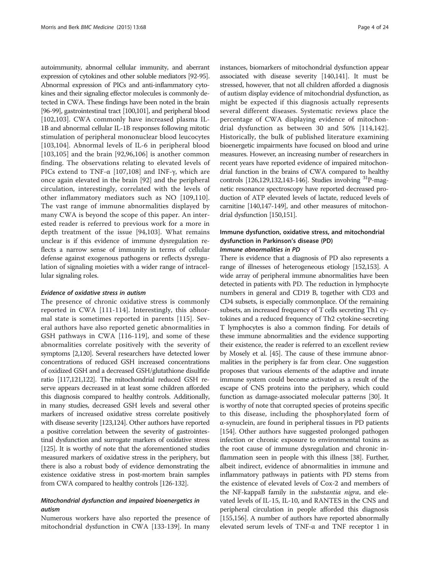autoimmunity, abnormal cellular immunity, and aberrant expression of cytokines and other soluble mediators [[92-95](#page-14-0)]. Abnormal expression of PICs and anti-inflammatory cytokines and their signaling effector molecules is commonly detected in CWA. These findings have been noted in the brain [[96-99\]](#page-15-0), gastrointestinal tract [\[100,101\]](#page-15-0), and peripheral blood [[102,103](#page-15-0)]. CWA commonly have increased plasma IL-1Β and abnormal cellular IL-1Β responses following mitotic stimulation of peripheral mononuclear blood leucocytes [[103,104](#page-15-0)]. Abnormal levels of IL-6 in peripheral blood  $[103, 105]$  and the brain  $[92, 96, 106]$  $[92, 96, 106]$  $[92, 96, 106]$  is another common finding. The observations relating to elevated levels of PICs extend to TNF- $\alpha$  [\[107,108](#page-15-0)] and INF-γ, which are once again elevated in the brain [\[92](#page-14-0)] and the peripheral circulation, interestingly, correlated with the levels of other inflammatory mediators such as NO [[109,110](#page-15-0)]. The vast range of immune abnormalities displayed by many CWA is beyond the scope of this paper. An interested reader is referred to previous work for a more in depth treatment of the issue [[94,](#page-14-0)[103\]](#page-15-0). What remains unclear is if this evidence of immune dysregulation reflects a narrow sense of immunity in terms of cellular defense against exogenous pathogens or reflects dysregulation of signaling moieties with a wider range of intracellular signaling roles.

#### Evidence of oxidative stress in autism

The presence of chronic oxidative stress is commonly reported in CWA [[111-114\]](#page-15-0). Interestingly, this abnormal state is sometimes reported in parents [\[115](#page-15-0)]. Several authors have also reported genetic abnormalities in GSH pathways in CWA [\[116](#page-15-0)-[119](#page-15-0)], and some of these abnormalities correlate positively with the severity of symptoms [\[2](#page-13-0)[,120](#page-15-0)]. Several researchers have detected lower concentrations of reduced GSH increased concentrations of oxidized GSH and a decreased GSH/glutathione disulfide ratio [\[117,121,122\]](#page-15-0). The mitochondrial reduced GSH reserve appears decreased in at least some children afforded this diagnosis compared to healthy controls. Additionally, in many studies, decreased GSH levels and several other markers of increased oxidative stress correlate positively with disease severity [\[123,124](#page-15-0)]. Other authors have reported a positive correlation between the severity of gastrointestinal dysfunction and surrogate markers of oxidative stress [[125\]](#page-15-0). It is worthy of note that the aforementioned studies measured markers of oxidative stress in the periphery, but there is also a robust body of evidence demonstrating the existence oxidative stress in post-mortem brain samples from CWA compared to healthy controls [\[126-132](#page-15-0)].

### Mitochondrial dysfunction and impaired bioenergetics in autism

Numerous workers have also reported the presence of mitochondrial dysfunction in CWA [[133-139](#page-15-0)]. In many

instances, biomarkers of mitochondrial dysfunction appear associated with disease severity [\[140,141\]](#page-15-0). It must be stressed, however, that not all children afforded a diagnosis of autism display evidence of mitochondrial dysfunction, as might be expected if this diagnosis actually represents several different diseases. Systematic reviews place the percentage of CWA displaying evidence of mitochondrial dysfunction as between 30 and 50% [[114,142](#page-15-0)]. Historically, the bulk of published literature examining bioenergetic impairments have focused on blood and urine measures. However, an increasing number of researchers in recent years have reported evidence of impaired mitochondrial function in the brains of CWA compared to healthy controls  $[126,129,132,143-146]$  $[126,129,132,143-146]$  $[126,129,132,143-146]$ . Studies involving  ${}^{31}P$ -magnetic resonance spectroscopy have reported decreased production of ATP elevated levels of lactate, reduced levels of carnitine [\[140](#page-15-0)[,147](#page-16-0)-[149\]](#page-16-0), and other measures of mitochondrial dysfunction [\[150,151](#page-16-0)].

### Immune dysfunction, oxidative stress, and mitochondrial dysfunction in Parkinson's disease (PD) Immune abnormalities in PD

There is evidence that a diagnosis of PD also represents a range of illnesses of heterogeneous etiology [[152,153](#page-16-0)]. A wide array of peripheral immune abnormalities have been detected in patients with PD. The reduction in lymphocyte numbers in general and CD19 B, together with CD3 and CD4 subsets, is especially commonplace. Of the remaining subsets, an increased frequency of T cells secreting Th1 cytokines and a reduced frequency of Th2 cytokine-secreting T lymphocytes is also a common finding. For details of these immune abnormalities and the evidence supporting their existence, the reader is referred to an excellent review by Mosely et al. [\[45\]](#page-13-0). The cause of these immune abnormalities in the periphery is far from clear. One suggestion proposes that various elements of the adaptive and innate immune system could become activated as a result of the escape of CNS proteins into the periphery, which could function as damage-associated molecular patterns [[30](#page-13-0)]. It is worthy of note that corrupted species of proteins specific to this disease, including the phosphorylated form of α-synuclein, are found in peripheral tissues in PD patients [[154](#page-16-0)]. Other authors have suggested prolonged pathogen infection or chronic exposure to environmental toxins as the root cause of immune dysregulation and chronic inflammation seen in people with this illness [[38](#page-13-0)]. Further, albeit indirect, evidence of abnormalities in immune and inflammatory pathways in patients with PD stems from the existence of elevated levels of Cox-2 and members of the NF-kappaB family in the substantia nigra, and elevated levels of IL-15, IL-10, and RANTES in the CNS and peripheral circulation in people afforded this diagnosis [[155,156\]](#page-16-0). A number of authors have reported abnormally elevated serum levels of TNF-α and TNF receptor 1 in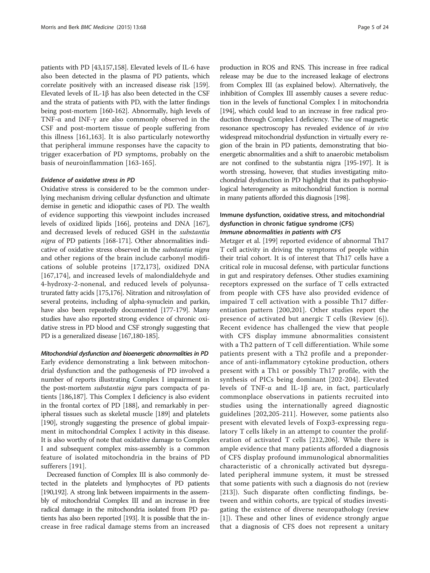patients with PD [\[43,](#page-13-0)[157,158\]](#page-16-0). Elevated levels of IL-6 have also been detected in the plasma of PD patients, which correlate positively with an increased disease risk [[159](#page-16-0)]. Elevated levels of IL-1β has also been detected in the CSF and the strata of patients with PD, with the latter findings being post-mortem [\[160-162\]](#page-16-0). Abnormally, high levels of TNF-α and INF-γ are also commonly observed in the CSF and post-mortem tissue of people suffering from this illness [[161,163](#page-16-0)]. It is also particularly noteworthy that peripheral immune responses have the capacity to trigger exacerbation of PD symptoms, probably on the basis of neuroinflammation [\[163](#page-16-0)-[165](#page-16-0)].

### Evidence of oxidative stress in PD

Oxidative stress is considered to be the common underlying mechanism driving cellular dysfunction and ultimate demise in genetic and idiopathic cases of PD. The wealth of evidence supporting this viewpoint includes increased levels of oxidized lipids [[166](#page-16-0)], proteins and DNA [[167](#page-16-0)], and decreased levels of reduced GSH in the substantia nigra of PD patients [[168](#page-16-0)-[171](#page-16-0)]. Other abnormalities indicative of oxidative stress observed in the substantia nigra and other regions of the brain include carbonyl modifications of soluble proteins [\[172,173\]](#page-16-0), oxidized DNA [[167,174](#page-16-0)], and increased levels of malondialdehyde and 4-hydroxy-2-nonenal, and reduced levels of polyunsatrurated fatty acids [\[175,176\]](#page-16-0). Nitration and nitrosylation of several proteins, including of alpha-synuclein and parkin, have also been repeatedly documented [[177-179\]](#page-16-0). Many studies have also reported strong evidence of chronic oxidative stress in PD blood and CSF strongly suggesting that PD is a generalized disease [[167,180](#page-16-0)-[185\]](#page-16-0).

#### Mitochondrial dysfunction and bioenergetic abnormalities in PD

Early evidence demonstrating a link between mitochondrial dysfunction and the pathogenesis of PD involved a number of reports illustrating Complex I impairment in the post-mortem substantia nigra pars compacta of patients [\[186,187\]](#page-16-0). This Complex I deficiency is also evident in the frontal cortex of PD [\[188\]](#page-16-0), and remarkably in peripheral tissues such as skeletal muscle [\[189\]](#page-16-0) and platelets [[190](#page-17-0)], strongly suggesting the presence of global impairment in mitochondrial Complex I activity in this disease. It is also worthy of note that oxidative damage to Complex I and subsequent complex miss-assembly is a common feature of isolated mitochondria in the brains of PD sufferers [[191](#page-17-0)].

Decreased function of Complex III is also commonly detected in the platelets and lymphocytes of PD patients [[190,192](#page-17-0)]. A strong link between impairments in the assembly of mitochondrial Complex III and an increase in free radical damage in the mitochondria isolated from PD patients has also been reported [[193\]](#page-17-0). It is possible that the increase in free radical damage stems from an increased

production in ROS and RNS. This increase in free radical release may be due to the increased leakage of electrons from Complex III (as explained below). Alternatively, the inhibition of Complex III assembly causes a severe reduction in the levels of functional Complex I in mitochondria [[194\]](#page-17-0), which could lead to an increase in free radical production through Complex I deficiency. The use of magnetic resonance spectroscopy has revealed evidence of in vivo widespread mitochondrial dysfunction in virtually every region of the brain in PD patients, demonstrating that bioenergetic abnormalities and a shift to anaerobic metabolism are not confined to the substantia nigra [\[195](#page-17-0)-[197\]](#page-17-0). It is worth stressing, however, that studies investigating mitochondrial dysfunction in PD highlight that its pathophysiological heterogeneity as mitochondrial function is normal in many patients afforded this diagnosis [[198\]](#page-17-0).

### Immune dysfunction, oxidative stress, and mitochondrial dysfunction in chronic fatigue syndrome (CFS) Immune abnormalities in patients with CFS

Metzger et al. [\[199\]](#page-17-0) reported evidence of abnormal Th17 T cell activity in driving the symptoms of people within their trial cohort. It is of interest that Th17 cells have a critical role in mucosal defense, with particular functions in gut and respiratory defenses. Other studies examining receptors expressed on the surface of T cells extracted from people with CFS have also provided evidence of impaired T cell activation with a possible Th17 differentiation pattern [\[200,201](#page-17-0)]. Other studies report the presence of activated but anergic T cells (Review [[6\]](#page-13-0)). Recent evidence has challenged the view that people with CFS display immune abnormalities consistent with a Th2 pattern of T cell differentiation. While some patients present with a Th2 profile and a preponderance of anti-inflammatory cytokine production, others present with a Th1 or possibly Th17 profile, with the synthesis of PICs being dominant [[202](#page-17-0)-[204](#page-17-0)]. Elevated levels of TNF-α and IL-1β are, in fact, particularly commonplace observations in patients recruited into studies using the internationally agreed diagnostic guidelines [[202,205-211](#page-17-0)]. However, some patients also present with elevated levels of Foxp3-expressing regulatory T cells likely in an attempt to counter the proliferation of activated T cells [[212](#page-17-0),[206\]](#page-17-0). While there is ample evidence that many patients afforded a diagnosis of CFS display profound immunological abnormalities characteristic of a chronically activated but dysregulated peripheral immune system, it must be stressed that some patients with such a diagnosis do not (review [[213\]](#page-17-0)). Such disparate often conflicting findings, between and within cohorts, are typical of studies investigating the existence of diverse neuropathology (review [[1\]](#page-13-0)). These and other lines of evidence strongly argue that a diagnosis of CFS does not represent a unitary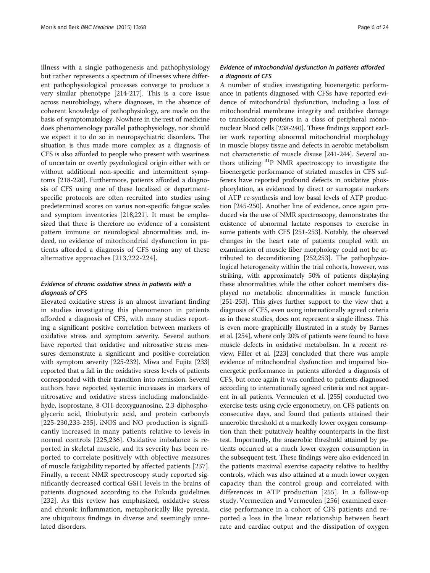illness with a single pathogenesis and pathophysiology but rather represents a spectrum of illnesses where different pathophysiological processes converge to produce a very similar phenotype [\[214-217\]](#page-17-0). This is a core issue across neurobiology, where diagnoses, in the absence of coherent knowledge of pathophysiology, are made on the basis of symptomatology. Nowhere in the rest of medicine does phenomenology parallel pathophysiology, nor should we expect it to do so in neuropsychiatric disorders. The situation is thus made more complex as a diagnosis of CFS is also afforded to people who present with weariness of uncertain or overtly psychological origin either with or without additional non-specific and intermittent symptoms [\[218-220\]](#page-17-0). Furthermore, patients afforded a diagnosis of CFS using one of these localized or departmentspecific protocols are often recruited into studies using predetermined scores on varius non-specific fatigue scales and symptom inventories [[218,221\]](#page-17-0). It must be emphasized that there is therefore no evidence of a consistent pattern immune or neurological abnormalities and, indeed, no evidence of mitochondrial dysfunction in patients afforded a diagnosis of CFS using any of these alternative approaches [[213](#page-17-0),[222](#page-17-0)-[224](#page-17-0)].

### Evidence of chronic oxidative stress in patients with a diagnosis of CFS

Elevated oxidative stress is an almost invariant finding in studies investigating this phenomenon in patients afforded a diagnosis of CFS, with many studies reporting a significant positive correlation between markers of oxidative stress and symptom severity. Several authors have reported that oxidative and nitrosative stress measures demonstrate a significant and positive correlation with symptom severity [[225](#page-17-0)-[232](#page-17-0)]. Miwa and Fujita [\[233](#page-18-0)] reported that a fall in the oxidative stress levels of patients corresponded with their transition into remission. Several authors have reported systemic increases in markers of nitrosative and oxidative stress including malondialdehyde, isoprostane, 8-OH-deoxyguanosine, 2,3-diphosphoglyceric acid, thiobutyric acid, and protein carbonyls [[225-230,](#page-17-0)[233-235](#page-18-0)]. iNOS and NO production is significantly increased in many patients relative to levels in normal controls [\[225,](#page-17-0)[236](#page-18-0)]. Oxidative imbalance is reported in skeletal muscle, and its severity has been reported to correlate positively with objective measures of muscle fatigability reported by affected patients [\[237](#page-18-0)]. Finally, a recent NMR spectroscopy study reported significantly decreased cortical GSH levels in the brains of patients diagnosed according to the Fukuda guidelines [[232\]](#page-17-0). As this review has emphasized, oxidative stress and chronic inflammation, metaphorically like pyrexia, are ubiquitous findings in diverse and seemingly unrelated disorders.

### Evidence of mitochondrial dysfunction in patients afforded a diagnosis of CFS

A number of studies investigating bioenergetic performance in patients diagnosed with CFSs have reported evidence of mitochondrial dysfunction, including a loss of mitochondrial membrane integrity and oxidative damage to translocatory proteins in a class of peripheral mononuclear blood cells [\[238-240\]](#page-18-0). These findings support earlier work reporting abnormal mitochondrial morphology in muscle biopsy tissue and defects in aerobic metabolism not characteristic of muscle disuse [\[241-244\]](#page-18-0). Several authors utilizing 31P NMR spectroscopy to investigate the bioenergetic performance of striated muscles in CFS sufferers have reported profound defects in oxidative phosphorylation, as evidenced by direct or surrogate markers of ATP re-synthesis and low basal levels of ATP production [\[245-250](#page-18-0)]. Another line of evidence, once again produced via the use of NMR spectroscopy, demonstrates the existence of abnormal lactate responses to exercise in some patients with CFS [\[251-253\]](#page-18-0). Notably, the observed changes in the heart rate of patients coupled with an examination of muscle fiber morphology could not be attributed to deconditioning [[252,253\]](#page-18-0). The pathophysiological heterogeneity within the trial cohorts, however, was striking, with approximately 50% of patients displaying these abnormalities while the other cohort members displayed no metabolic abnormalities in muscle function [[251](#page-18-0)-[253](#page-18-0)]. This gives further support to the view that a diagnosis of CFS, even using internationally agreed criteria as in these studies, does not represent a single illness. This is even more graphically illustrated in a study by Barnes et al. [\[254\]](#page-18-0), where only 20% of patients were found to have muscle defects in oxidative metabolism. In a recent review, Filler et al. [\[223\]](#page-17-0) concluded that there was ample evidence of mitochondrial dysfunction and impaired bioenergetic performance in patients afforded a diagnosis of CFS, but once again it was confined to patients diagnosed according to internationally agreed criteria and not apparent in all patients. Vermeulen et al. [\[255](#page-18-0)] conducted two exercise tests using cycle ergonometry, on CFS patients on consecutive days, and found that patients attained their anaerobic threshold at a markedly lower oxygen consumption than their putatively healthy counterparts in the first test. Importantly, the anaerobic threshold attained by patients occurred at a much lower oxygen consumption in the subsequent test. These findings were also evidenced in the patients maximal exercise capacity relative to healthy controls, which was also attained at a much lower oxygen capacity than the control group and correlated with differences in ATP production [\[255\]](#page-18-0). In a follow-up study, Vermeulen and Vermeulen [\[256\]](#page-18-0) examined exercise performance in a cohort of CFS patients and reported a loss in the linear relationship between heart rate and cardiac output and the dissipation of oxygen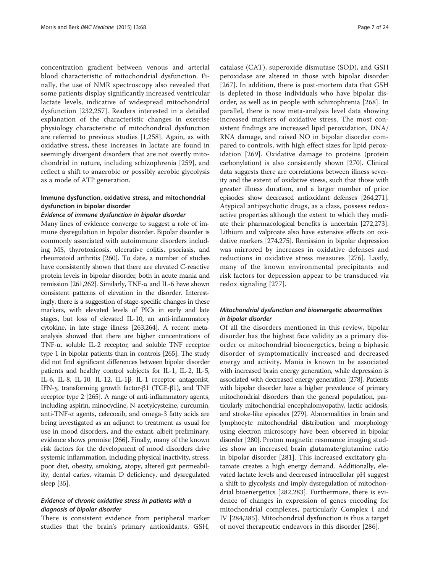concentration gradient between venous and arterial blood characteristic of mitochondrial dysfunction. Finally, the use of NMR spectroscopy also revealed that some patients display significantly increased ventricular lactate levels, indicative of widespread mitochondrial dysfunction [[232](#page-17-0),[257\]](#page-18-0). Readers interested in a detailed explanation of the characteristic changes in exercise physiology characteristic of mitochondrial dysfunction are referred to previous studies [[1,](#page-13-0)[258](#page-18-0)]. Again, as with oxidative stress, these increases in lactate are found in seemingly divergent disorders that are not overtly mitochondrial in nature, including schizophrenia [\[259](#page-18-0)], and reflect a shift to anaerobic or possibly aerobic glycolysis as a mode of ATP generation.

### Immune dysfunction, oxidative stress, and mitochondrial dysfunction in bipolar disorder

#### Evidence of immune dysfunction in bipolar disorder

Many lines of evidence converge to suggest a role of immune dysregulation in bipolar disorder. Bipolar disorder is commonly associated with autoimmune disorders including MS, thyrotoxicosis, ulcerative colitis, psoriasis, and rheumatoid arthritis [[260](#page-18-0)]. To date, a number of studies have consistently shown that there are elevated C-reactive protein levels in bipolar disorder, both in acute mania and remission [\[261,262\]](#page-18-0). Similarly, TNF-α and IL-6 have shown consistent patterns of elevation in the disorder. Interestingly, there is a suggestion of stage-specific changes in these markers, with elevated levels of PICs in early and late stages, but loss of elevated IL-10, an anti-inflammatory cytokine, in late stage illness [\[263,264\]](#page-18-0). A recent metaanalysis showed that there are higher concentrations of TNF-α, soluble IL-2 receptor, and soluble TNF receptor type 1 in bipolar patients than in controls [\[265\]](#page-18-0). The study did not find significant differences between bipolar disorder patients and healthy control subjects for IL-1, IL-2, IL-5, IL-6, IL-8, IL-10, IL-12, IL-1β, IL-1 receptor antagonist, IFN-γ, transforming growth factor-β1 (TGF-β1), and TNF receptor type 2 [\[265\]](#page-18-0). A range of anti-inflammatory agents, including aspirin, minocycline, N-acetylcysteine, curcumin, anti-TNF-α agents, celecoxib, and omega-3 fatty acids are being investigated as an adjunct to treatment as usual for use in mood disorders, and the extant, albeit preliminary, evidence shows promise [\[266\]](#page-18-0). Finally, many of the known risk factors for the development of mood disorders drive systemic inflammation, including physical inactivity, stress, poor diet, obesity, smoking, atopy, altered gut permeability, dental caries, vitamin D deficiency, and dysregulated sleep [\[35\]](#page-13-0).

### Evidence of chronic oxidative stress in patients with a diagnosis of bipolar disorder

There is consistent evidence from peripheral marker studies that the brain's primary antioxidants, GSH,

catalase (CAT), superoxide dismutase (SOD), and GSH peroxidase are altered in those with bipolar disorder [[267](#page-18-0)]. In addition, there is post-mortem data that GSH is depleted in those individuals who have bipolar disorder, as well as in people with schizophrenia [[268\]](#page-18-0). In parallel, there is now meta-analysis level data showing increased markers of oxidative stress. The most consistent findings are increased lipid peroxidation, DNA/ RNA damage, and raised NO in bipolar disorder compared to controls, with high effect sizes for lipid peroxidation [[269\]](#page-18-0). Oxidative damage to proteins (protein carbonylation) is also consistently shown [[270](#page-18-0)]. Clinical data suggests there are correlations between illness severity and the extent of oxidative stress, such that those with greater illness duration, and a larger number of prior episodes show decreased antioxidant defenses [\[264,271](#page-18-0)]. Atypical antipsychotic drugs, as a class, possess redoxactive properties although the extent to which they mediate their pharmacological benefits is uncertain [\[272,273](#page-18-0)]. Lithium and valproate also have extensive effects on oxidative markers [\[274,275](#page-18-0)]. Remission in bipolar depression was mirrored by increases in oxidative defenses and reductions in oxidative stress measures [[276\]](#page-18-0). Lastly, many of the known environmental precipitants and risk factors for depression appear to be transduced via redox signaling [[277](#page-18-0)].

### Mitochondrial dysfunction and bioenergetic abnormalities in bipolar disorder

Of all the disorders mentioned in this review, bipolar disorder has the highest face validity as a primary disorder or mitochondrial bioenergetics, being a biphasic disorder of symptomatically increased and decreased energy and activity. Mania is known to be associated with increased brain energy generation, while depression is associated with decreased energy generation [\[278](#page-18-0)]. Patients with bipolar disorder have a higher prevalence of primary mitochondrial disorders than the general population, particularly mitochondrial encephalomyopathy, lactic acidosis, and stroke-like episodes [\[279](#page-18-0)]. Abnormalities in brain and lymphocyte mitochondrial distribution and morphology using electron microscopy have been observed in bipolar disorder [\[280\]](#page-19-0). Proton magnetic resonance imaging studies show an increased brain glutamate/glutamine ratio in bipolar disorder [[281\]](#page-19-0). This increased excitatory glutamate creates a high energy demand. Additionally, elevated lactate levels and decreased intracellular pH suggest a shift to glycolysis and imply dysregulation of mitochondrial bioenergetics [[282,283\]](#page-19-0). Furthermore, there is evidence of changes in expression of genes encoding for mitochondrial complexes, particularly Complex I and IV [\[284,285](#page-19-0)]. Mitochondrial dysfunction is thus a target of novel therapeutic endeavors in this disorder [\[286](#page-19-0)].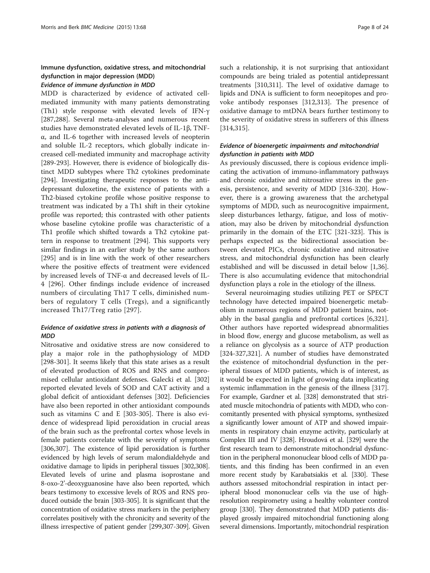## Immune dysfunction, oxidative stress, and mitochondrial dysfunction in major depression (MDD)

Evidence of immune dysfunction in MDD

MDD is characterized by evidence of activated cellmediated immunity with many patients demonstrating (Th1) style response with elevated levels of IFN-γ [[287,288](#page-19-0)]. Several meta-analyses and numerous recent studies have demonstrated elevated levels of IL-1β, TNFα, and IL-6 together with increased levels of neopterin and soluble IL-2 receptors, which globally indicate increased cell-mediated immunity and macrophage activity [[289-293\]](#page-19-0). However, there is evidence of biologically distinct MDD subtypes where Th2 cytokines predominate [[294\]](#page-19-0). Investigating therapeutic responses to the antidepressant duloxetine, the existence of patients with a Th2-biased cytokine profile whose positive response to treatment was indicated by a Th1 shift in their cytokine profile was reported; this contrasted with other patients whose baseline cytokine profile was characteristic of a Th1 profile which shifted towards a Th2 cytokine pattern in response to treatment [\[294\]](#page-19-0). This supports very similar findings in an earlier study by the same authors [[295\]](#page-19-0) and is in line with the work of other researchers where the positive effects of treatment were evidenced by increased levels of TNF-α and decreased levels of IL-4 [\[296\]](#page-19-0). Other findings include evidence of increased numbers of circulating Th17 T cells, diminished numbers of regulatory T cells (Tregs), and a significantly increased Th17/Treg ratio [[297](#page-19-0)].

### Evidence of oxidative stress in patients with a diagnosis of MDD

Nitrosative and oxidative stress are now considered to play a major role in the pathophysiology of MDD [[298-301\]](#page-19-0). It seems likely that this state arises as a result of elevated production of ROS and RNS and compromised cellular antioxidant defenses. Galecki et al. [[302](#page-19-0)] reported elevated levels of SOD and CAT activity and a global deficit of antioxidant defenses [[302](#page-19-0)]. Deficiencies have also been reported in other antioxidant compounds such as vitamins C and E [[303-305\]](#page-19-0). There is also evidence of widespread lipid peroxidation in crucial areas of the brain such as the prefrontal cortex whose levels in female patients correlate with the severity of symptoms [[306,307](#page-19-0)]. The existence of lipid peroxidation is further evidenced by high levels of serum malondialdehyde and oxidative damage to lipids in peripheral tissues [\[302,308](#page-19-0)]. Elevated levels of urine and plasma isoprostane and 8-oxo-2'-deoxyguanosine have also been reported, which bears testimony to excessive levels of ROS and RNS produced outside the brain [\[303-305\]](#page-19-0). It is significant that the concentration of oxidative stress markers in the periphery correlates positively with the chronicity and severity of the illness irrespective of patient gender [\[299,307-309](#page-19-0)]. Given

such a relationship, it is not surprising that antioxidant compounds are being trialed as potential antidepressant treatments [[310,311\]](#page-19-0). The level of oxidative damage to lipids and DNA is sufficient to form neoepitopes and provoke antibody responses [[312,313](#page-19-0)]. The presence of oxidative damage to mtDNA bears further testimony to the severity of oxidative stress in sufferers of this illness [[314,315](#page-19-0)].

### Evidence of bioenergetic impairments and mitochondrial dysfunction in patients with MDD

As previously discussed, there is copious evidence implicating the activation of immuno-inflammatory pathways and chronic oxidative and nitrosative stress in the genesis, persistence, and severity of MDD [\[316-320](#page-19-0)]. However, there is a growing awareness that the archetypal symptoms of MDD, such as neurocognitive impairment, sleep disturbances lethargy, fatigue, and loss of motivation, may also be driven by mitochondrial dysfunction primarily in the domain of the ETC [[321](#page-19-0)[-323](#page-20-0)]. This is perhaps expected as the bidirectional association between elevated PICs, chronic oxidative and nitrosative stress, and mitochondrial dysfunction has been clearly established and will be discussed in detail below [\[1,36](#page-13-0)]. There is also accumulating evidence that mitochondrial dysfunction plays a role in the etiology of the illness.

Several neuroimaging studies utilizing PET or SPECT technology have detected impaired bioenergetic metabolism in numerous regions of MDD patient brains, notably in the basal ganglia and prefrontal cortices [\[6](#page-13-0),[321](#page-19-0)]. Other authors have reported widespread abnormalities in blood flow, energy and glucose metabolism, as well as a reliance on glycolysis as a source of ATP production [[324-327,](#page-20-0)[321\]](#page-19-0). A number of studies have demonstrated the existence of mitochondrial dysfunction in the peripheral tissues of MDD patients, which is of interest, as it would be expected in light of growing data implicating systemic inflammation in the genesis of the illness [[317](#page-19-0)]. For example, Gardner et al. [[328](#page-20-0)] demonstrated that striated muscle mitochondria of patients with MDD, who concomitantly presented with physical symptoms, synthesized a significantly lower amount of ATP and showed impairments in respiratory chain enzyme activity, particularly at Complex III and IV [\[328](#page-20-0)]. Hroudová et al. [\[329](#page-20-0)] were the first research team to demonstrate mitochondrial dysfunction in the peripheral mononuclear blood cells of MDD patients, and this finding has been confirmed in an even more recent study by Karabatsiakis et al. [\[330](#page-20-0)]. These authors assessed mitochondrial respiration in intact peripheral blood mononuclear cells via the use of highresolution respirometry using a healthy volunteer control group [\[330\]](#page-20-0). They demonstrated that MDD patients displayed grossly impaired mitochondrial functioning along several dimensions. Importantly, mitochondrial respiration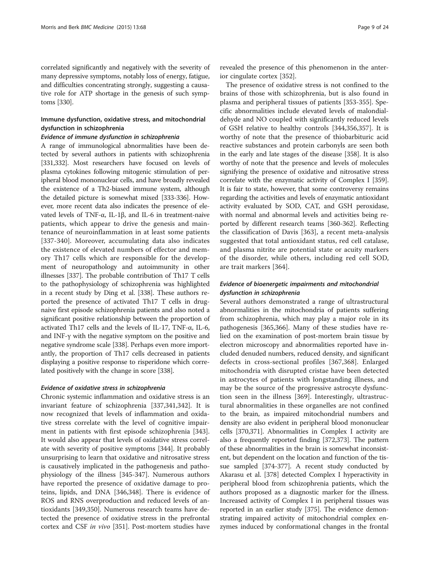correlated significantly and negatively with the severity of many depressive symptoms, notably loss of energy, fatigue, and difficulties concentrating strongly, suggesting a causative role for ATP shortage in the genesis of such symptoms [\[330\]](#page-20-0).

### Immune dysfunction, oxidative stress, and mitochondrial dysfunction in schizophrenia

#### Evidence of immune dysfunction in schizophrenia

A range of immunological abnormalities have been detected by several authors in patients with schizophrenia [[331,332](#page-20-0)]. Most researchers have focused on levels of plasma cytokines following mitogenic stimulation of peripheral blood mononuclear cells, and have broadly revealed the existence of a Th2-biased immune system, although the detailed picture is somewhat mixed [[333-336\]](#page-20-0). However, more recent data also indicates the presence of elevated levels of TNF-α, IL-1β, and IL-6 in treatment-naive patients, which appear to drive the genesis and maintenance of neuroinflammation in at least some patients [[337-340\]](#page-20-0). Moreover, accumulating data also indicates the existence of elevated numbers of effector and memory Th17 cells which are responsible for the development of neuropathology and autoimmunity in other illnesses [\[337\]](#page-20-0). The probable contribution of Th17 T cells to the pathophysiology of schizophrenia was highlighted in a recent study by Ding et al. [\[338](#page-20-0)]. These authors reported the presence of activated Th17 T cells in drugnaive first episode schizophrenia patients and also noted a significant positive relationship between the proportion of activated Th17 cells and the levels of IL-17, TNF-α, IL-6, and INF-γ with the negative symptom on the positive and negative syndrome scale [[338](#page-20-0)]. Perhaps even more importantly, the proportion of Th17 cells decreased in patients displaying a positive response to risperidone which correlated positively with the change in score [[338](#page-20-0)].

#### Evidence of oxidative stress in schizophrenia

Chronic systemic inflammation and oxidative stress is an invariant feature of schizophrenia [\[337,341,342\]](#page-20-0). It is now recognized that levels of inflammation and oxidative stress correlate with the level of cognitive impairment in patients with first episode schizophrenia [\[343](#page-20-0)]. It would also appear that levels of oxidative stress correlate with severity of positive symptoms [[344\]](#page-20-0). It probably unsurprising to learn that oxidative and nitrosative stress is causatively implicated in the pathogenesis and pathophysiology of the illness [\[345](#page-20-0)-[347](#page-20-0)]. Numerous authors have reported the presence of oxidative damage to proteins, lipids, and DNA [\[346,348\]](#page-20-0). There is evidence of ROS and RNS overproduction and reduced levels of antioxidants [[349,350](#page-20-0)]. Numerous research teams have detected the presence of oxidative stress in the prefrontal cortex and CSF in vivo [\[351\]](#page-20-0). Post-mortem studies have

revealed the presence of this phenomenon in the anterior cingulate cortex [[352](#page-20-0)].

The presence of oxidative stress is not confined to the brains of those with schizophrenia, but is also found in plasma and peripheral tissues of patients [[353-355\]](#page-20-0). Specific abnormalities include elevated levels of malondialdehyde and NO coupled with significantly reduced levels of GSH relative to healthy controls [\[344,356,357\]](#page-20-0). It is worthy of note that the presence of thiobarbituric acid reactive substances and protein carbonyls are seen both in the early and late stages of the disease [\[358\]](#page-20-0). It is also worthy of note that the presence and levels of molecules signifying the presence of oxidative and nitrosative stress correlate with the enzymatic activity of Complex I [[359](#page-20-0)]. It is fair to state, however, that some controversy remains regarding the activities and levels of enzymatic antioxidant activity evaluated by SOD, CAT, and GSH peroxidase, with normal and abnormal levels and activities being reported by different research teams [[360](#page-20-0)-[362](#page-20-0)]. Reflecting the classification of Davis [\[363](#page-20-0)], a recent meta-analysis suggested that total antioxidant status, red cell catalase, and plasma nitrite are potential state or acuity markers of the disorder, while others, including red cell SOD, are trait markers [[364\]](#page-20-0).

### Evidence of bioenergetic impairments and mitochondrial dysfunction in schizophrenia

Several authors demonstrated a range of ultrastructural abnormalities in the mitochondria of patients suffering from schizophrenia, which may play a major role in its pathogenesis [[365,366](#page-20-0)]. Many of these studies have relied on the examination of post-mortem brain tissue by electron microscopy and abnormalities reported have included denuded numbers, reduced density, and significant defects in cross-sectional profiles [[367,368](#page-20-0)]. Enlarged mitochondria with disrupted cristae have been detected in astrocytes of patients with longstanding illness, and may be the source of the progressive astrocyte dysfunction seen in the illness [\[369](#page-20-0)]. Interestingly, ultrastructural abnormalities in these organelles are not confined to the brain, as impaired mitochondrial numbers and density are also evident in peripheral blood mononuclear cells [[370](#page-20-0)[,371\]](#page-21-0). Abnormalities in Complex I activity are also a frequently reported finding [[372,373\]](#page-21-0). The pattern of these abnormalities in the brain is somewhat inconsistent, but dependent on the location and function of the tissue sampled [\[374-377\]](#page-21-0). A recent study conducted by Akarasu et al. [[378](#page-21-0)] detected Complex I hyperactivity in peripheral blood from schizophrenia patients, which the authors proposed as a diagnostic marker for the illness. Increased activity of Complex I in peripheral tissues was reported in an earlier study [\[375\]](#page-21-0). The evidence demonstrating impaired activity of mitochondrial complex enzymes induced by conformational changes in the frontal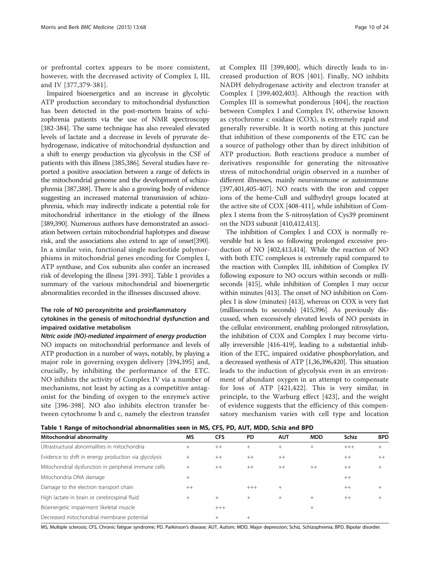or prefrontal cortex appears to be more consistent, however, with the decreased activity of Complex I, III, and IV [[377](#page-21-0),[379-381\]](#page-21-0).

Impaired bioenergetics and an increase in glycolytic ATP production secondary to mitochondrial dysfunction has been detected in the post-mortem brains of schizophrenia patients via the use of NMR spectroscopy [[382](#page-21-0)-[384](#page-21-0)]. The same technique has also revealed elevated levels of lactate and a decrease in levels of pyruvate dehydrogenase, indicative of mitochondrial dysfunction and a shift to energy production via glycolysis in the CSF of patients with this illness [\[385,386](#page-21-0)]. Several studies have reported a positive association between a range of defects in the mitochondrial genome and the development of schizophrenia [\[387,388](#page-21-0)]. There is also a growing body of evidence suggesting an increased maternal transmission of schizophrenia, which may indirectly indicate a potential role for mitochondrial inheritance in the etiology of the illness [[389,390\]](#page-21-0). Numerous authors have demonstrated an association between certain mitochondrial haplotypes and disease risk, and the associations also extend to age of onset[\[390](#page-21-0)]. In a similar vein, functional single nucleotide polymorphisms in mitochondrial genes encoding for Complex I, ATP synthase, and Cox subunits also confer an increased risk of developing the illness [[391](#page-21-0)-[393](#page-21-0)]. Table 1 provides a summary of the various mitochondrial and bioenergetic abnormalities recorded in the illnesses discussed above.

### The role of NO peroxynitrite and proinflammatory cytokines in the genesis of mitochondrial dysfunction and impaired oxidative metabolism

#### Nitric oxide (NO)-mediated impairment of energy production

NO impacts on mitochondrial performance and levels of ATP production in a number of ways, notably, by playing a major role in governing oxygen delivery [[394,395](#page-21-0)] and, crucially, by inhibiting the performance of the ETC. NO inhibits the activity of Complex IV via a number of mechanisms, not least by acting as a competitive antagonist for the binding of oxygen to the enzyme's active site [\[396](#page-21-0)-[398\]](#page-21-0). NO also inhibits electron transfer between cytochrome b and c, namely the electron transfer

at Complex III [[399,400\]](#page-21-0), which directly leads to increased production of ROS [[401](#page-21-0)]. Finally, NO inhibits NADH dehydrogenase activity and electron transfer at Complex I [[399,402](#page-21-0),[403](#page-21-0)]. Although the reaction with Complex III is somewhat ponderous [[404\]](#page-21-0), the reaction between Complex I and Complex IV, otherwise known as cytochrome c oxidase (COX), is extremely rapid and generally reversible. It is worth noting at this juncture that inhibition of these components of the ETC can be a source of pathology other than by direct inhibition of ATP production. Both reactions produce a number of derivatives responsible for generating the nitrosative stress of mitochondrial origin observed in a number of different illnesses, mainly neuroimmune or autoimmune [[397,401,405](#page-21-0)-[407](#page-21-0)]. NO reacts with the iron and copper ions of the heme-CuB and sulfhydryl groups located at the active site of COX [\[408-411](#page-21-0)], while inhibition of Complex I stems from the S-nitrosylation of Cys39 prominent on the ND3 subunit [[410,412,413](#page-21-0)].

The inhibition of Complex I and COX is normally reversible but is less so following prolonged excessive production of NO [[402,413,414](#page-21-0)]. While the reaction of NO with both ETC complexes is extremely rapid compared to the reaction with Complex III, inhibition of Complex IV following exposure to NO occurs within seconds or milliseconds [\[415\]](#page-21-0), while inhibition of Complex I may occur within minutes [[413](#page-21-0)]. The onset of NO inhibition on Complex I is slow (minutes) [\[413](#page-21-0)], whereas on COX is very fast (milliseconds to seconds) [[415,396](#page-21-0)]. As previously discussed, when excessively elevated levels of NO persists in the cellular environment, enabling prolonged nitrosylation, the inhibition of COX and Complex I may become virtually irreversible [\[416](#page-21-0)[-419](#page-22-0)], leading to a substantial inhibition of the ETC, impaired oxidative phosphorylation, and a decreased synthesis of ATP [[1,36](#page-13-0)[,396](#page-21-0)[,420\]](#page-22-0). This situation leads to the induction of glycolysis even in an environment of abundant oxygen in an attempt to compensate for loss of ATP [\[421,422](#page-22-0)]. This is very similar, in principle, to the Warburg effect [[423\]](#page-22-0), and the weight of evidence suggests that the efficiency of this compensatory mechanism varies with cell type and location

|  | Table 1 Range of mitochondrial abnormalities seen in MS, CFS, PD, AUT, MDD, Schiz and BPD |
|--|-------------------------------------------------------------------------------------------|
|--|-------------------------------------------------------------------------------------------|

| Mitochondrial abnormality                             | ΜS     | <b>CFS</b> | PD     | <b>AUT</b>     | <b>MDD</b> | Schiz   | <b>BPD</b> |
|-------------------------------------------------------|--------|------------|--------|----------------|------------|---------|------------|
| Ultrastructural abnormalities in mitochondria         | $^{+}$ | $++$       | $^{+}$ | $\overline{+}$ | $^{+}$     | $+++$   |            |
| Evidence to shift in energy production via glycolysis | $^{+}$ | $++$       | $++$   | $++$           |            | $++$    | $++$       |
| Mitochondrial dysfunction in peripheral immune cells  | $^{+}$ | $++$       | $++$   | $++$           | $^{++}$    | $++$    |            |
| Mitochondria DNA damage                               |        |            |        |                |            | $++$    |            |
| Damage to the electron transport chain                | $++$   |            | $+++$  | $^{+}$         |            | $^{++}$ |            |
| High lactate in brain or cerebrospinal fluid          | $^{+}$ | $^{+}$     | $^{+}$ | $\overline{+}$ | $^{+}$     | $++$    |            |
| Bioenergetic impairment Skeletal muscle               |        | $+++$      |        |                | $^{+}$     |         |            |
| Decreased mitochondrial membrane potential            |        |            |        |                |            |         |            |

MS, Multiple sclerosis; CFS, Chronic fatigue syndrome; PD, Parkinson's disease; AUT, Autism; MDD, Major depression; Schiz, Schizophrenia; BPD, Bipolar disorder.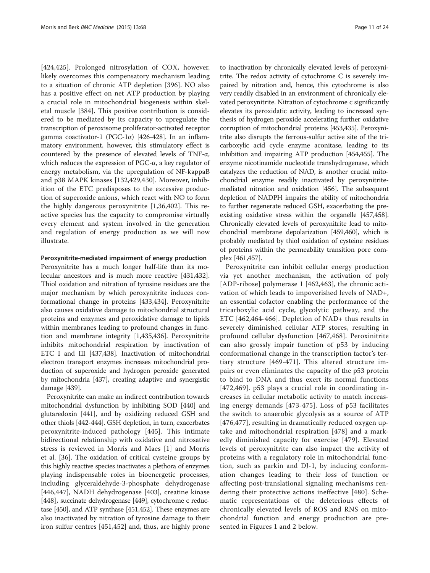[[424,425](#page-22-0)]. Prolonged nitrosylation of COX, however, likely overcomes this compensatory mechanism leading to a situation of chronic ATP depletion [\[396](#page-21-0)]. NO also has a positive effect on net ATP production by playing a crucial role in mitochondrial biogenesis within skeletal muscle [[384](#page-21-0)]. This positive contribution is considered to be mediated by its capacity to upregulate the transcription of peroxisome proliferator-activated receptor gamma coactivator-1 (PGC-1α) [\[426-428](#page-22-0)]. In an inflammatory environment, however, this stimulatory effect is countered by the presence of elevated levels of TNF-α, which reduces the expression of  $PGC-\alpha$ , a key regulator of energy metabolism, via the upregulation of NF-kappaB and p38 MAPK kinases [[132](#page-15-0)[,429,430](#page-22-0)]. Moreover, inhibition of the ETC predisposes to the excessive production of superoxide anions, which react with NO to form the highly dangerous peroxynitrite [[1,36](#page-13-0)[,402](#page-21-0)]. This reactive species has the capacity to compromise virtually every element and system involved in the generation and regulation of energy production as we will now illustrate.

#### Peroxynitrite-mediated impairment of energy production

Peroxynitrite has a much longer half-life than its molecular ancestors and is much more reactive [[431,432](#page-22-0)]. Thiol oxidation and nitration of tyrosine residues are the major mechanism by which peroxynitrite induces conformational change in proteins [\[433,434\]](#page-22-0). Peroxynitrite also causes oxidative damage to mitochondrial structural proteins and enzymes and peroxidative damage to lipids within membranes leading to profound changes in function and membrane integrity [[1,](#page-13-0)[435,436](#page-22-0)]. Peroxynitrite inhibits mitochondrial respiration by inactivation of ETC I and III [[437,438\]](#page-22-0). Inactivation of mitochondrial electron transport enzymes increases mitochondrial production of superoxide and hydrogen peroxide generated by mitochondria [[437](#page-22-0)], creating adaptive and synergistic damage [\[439\]](#page-22-0).

Peroxynitrite can make an indirect contribution towards mitochondrial dysfunction by inhibiting SOD [[440](#page-22-0)] and glutaredoxin [[441](#page-22-0)], and by oxidizing reduced GSH and other thiols [\[442-444\]](#page-22-0). GSH depletion, in turn, exacerbates peroxynitrite-induced pathology [\[445](#page-22-0)]. This intimate bidirectional relationship with oxidative and nitrosative stress is reviewed in Morris and Maes [[1](#page-13-0)] and Morris et al. [[36\]](#page-13-0). The oxidation of critical cysteine groups by this highly reactive species inactivates a plethora of enzymes playing indispensable roles in bioenergetic processes, including glyceraldehyde-3-phosphate dehydrogenase [[446,447](#page-22-0)], NADH dehydrogenase [\[403](#page-21-0)], creatine kinase [[448\]](#page-22-0), succinate dehydrogenase [[449\]](#page-22-0), cytochrome c reductase [[450\]](#page-22-0), and ATP synthase [\[451,452\]](#page-22-0). These enzymes are also inactivated by nitration of tyrosine damage to their iron sulfur centres [[451,452](#page-22-0)] and, thus, are highly prone

to inactivation by chronically elevated levels of peroxynitrite. The redox activity of cytochrome C is severely impaired by nitration and, hence, this cytochrome is also very readily disabled in an environment of chronically elevated peroxynitrite. Nitration of cytochrome c significantly elevates its peroxidatic activity, leading to increased synthesis of hydrogen peroxide accelerating further oxidative corruption of mitochondrial proteins [\[453,435](#page-22-0)]. Peroxynitrite also disrupts the ferrous-sulfur active site of the tricarboxylic acid cycle enzyme aconitase, leading to its inhibition and impairing ATP production [\[454,455](#page-22-0)]. The enzyme nicotinamide nucleotide transhydrogenase, which catalyzes the reduction of NAD, is another crucial mitochondrial enzyme readily inactivated by peroxynitritemediated nitration and oxidation [\[456\]](#page-22-0). The subsequent depletion of NADPH impairs the ability of mitochondria to further regenerate reduced GSH, exacerbating the preexisting oxidative stress within the organelle [\[457,458](#page-22-0)]. Chronically elevated levels of peroxynitrite lead to mitochondrial membrane depolarization [[459,460\]](#page-22-0), which is probably mediated by thiol oxidation of cysteine residues of proteins within the permeability transition pore complex [\[461,457](#page-22-0)].

Peroxynitrite can inhibit cellular energy production via yet another mechanism, the activation of poly [ADP-ribose] polymerase 1 [[462,463](#page-22-0)], the chronic activation of which leads to impoverished levels of NAD+, an essential cofactor enabling the performance of the tricarboxylic acid cycle, glycolytic pathway, and the ETC [[462](#page-22-0),[464](#page-22-0)-[466](#page-22-0)]. Depletion of NAD+ thus results in severely diminished cellular ATP stores, resulting in profound cellular dysfunction [[467](#page-22-0),[468](#page-23-0)]. Peroxinitrite can also grossly impair function of p53 by inducing conformational change in the transcription factor's tertiary structure [\[469-471\]](#page-23-0). This altered structure impairs or even eliminates the capacity of the p53 protein to bind to DNA and thus exert its normal functions [[472](#page-23-0),[469](#page-23-0)]. p53 plays a crucial role in coordinating increases in cellular metabolic activity to match increasing energy demands [\[473-475\]](#page-23-0). Loss of p53 facilitates the switch to anaerobic glycolysis as a source of ATP [[476](#page-23-0),[477](#page-23-0)], resulting in dramatically reduced oxygen uptake and mitochondrial respiration [[478](#page-23-0)] and a markedly diminished capacity for exercise [[479](#page-23-0)]. Elevated levels of peroxynitrite can also impact the activity of proteins with a regulatory role in mitochondrial function, such as parkin and DJ-1, by inducing conformation changes leading to their loss of function or affecting post-translational signaling mechanisms rendering their protective actions ineffective [\[480\]](#page-23-0). Schematic representations of the deleterious effects of chronically elevated levels of ROS and RNS on mitochondrial function and energy production are presented in Figures [1](#page-11-0) and [2](#page-11-0) below.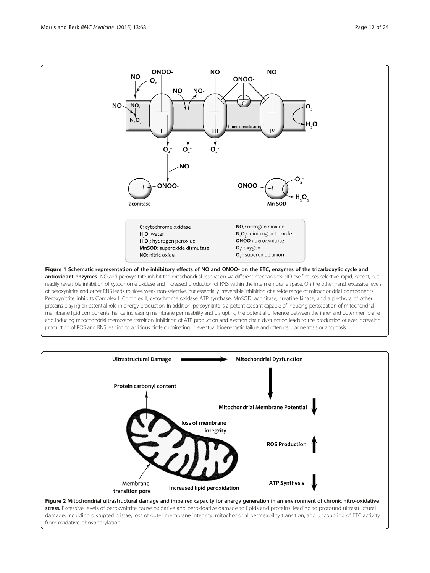<span id="page-11-0"></span>

membrane lipid components, hence increasing membrane permeability and disrupting the potential difference between the inner and outer membrane and inducing mitochondrial membrane transition. Inhibition of ATP production and electron chain dysfunction leads to the production of ever increasing production of ROS and RNS leading to a vicious circle culminating in eventual bioenergetic failure and often cellular necrosis or apoptosis.



damage, including disrupted cristae, loss of outer membrane integrity, mitochondrial permeability transition, and uncoupling of ETC activity from oxidative phosphorylation.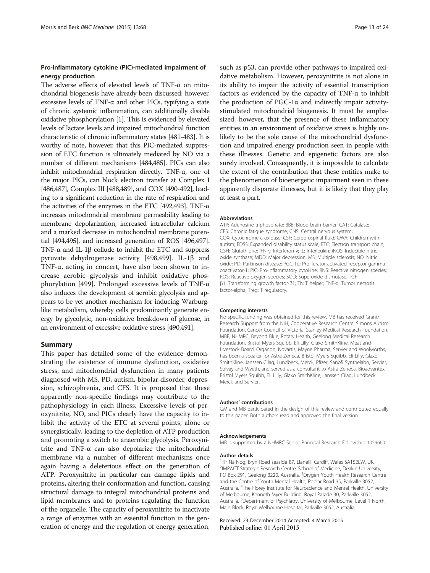#### Pro-inflammatory cytokine (PIC)-mediated impairment of energy production

The adverse effects of elevated levels of TNF-α on mitochondrial biogenesis have already been discussed; however, excessive levels of TNF- $\alpha$  and other PICs, typifying a state of chronic systemic inflammation, can additionally disable oxidative phosphorylation [\[1](#page-13-0)]. This is evidenced by elevated levels of lactate levels and impaired mitochondrial function characteristic of chronic inflammatory states [\[481](#page-23-0)-[483\]](#page-23-0). It is worthy of note, however, that this PIC-mediated suppression of ETC function is ultimately mediated by NO via a number of different mechanisms [\[484,485](#page-23-0)]. PICs can also inhibit mitochondrial respiration directly. TNF-α, one of the major PICs, can block electron transfer at Complex I [[486,487\]](#page-23-0), Complex III [[488,489\]](#page-23-0), and COX [[490-492\]](#page-23-0), leading to a significant reduction in the rate of respiration and the activities of the enzymes in the ETC [[492,493\]](#page-23-0). TNF-α increases mitochondrial membrane permeability leading to membrane depolarization, increased intracellular calcium and a marked decrease in mitochondrial membrane potential [\[494,495\]](#page-23-0), and increased generation of ROS [\[496,497](#page-23-0)]. TNF- $\alpha$  and IL-1 $\beta$  collude to inhibit the ETC and suppress pyruvate dehydrogenase activity [\[498,499](#page-23-0)]. IL-1β and TNF-α, acting in concert, have also been shown to increase aerobic glycolysis and inhibit oxidative phosphorylation [[499\]](#page-23-0). Prolonged excessive levels of TNF-α also induces the development of aerobic glycolysis and appears to be yet another mechanism for inducing Warburglike metabolism, whereby cells predominantly generate energy by glycolytic, non-oxidative breakdown of glucose, in an environment of excessive oxidative stress [\[490,491\]](#page-23-0).

#### Summary

This paper has detailed some of the evidence demonstrating the existence of immune dysfunction, oxidative stress, and mitochondrial dysfunction in many patients diagnosed with MS, PD, autism, bipolar disorder, depression, schizophrenia, and CFS. It is proposed that these apparently non-specific findings may contribute to the pathophysiology in each illness. Excessive levels of peroxynitrite, NO, and PICs clearly have the capacity to inhibit the activity of the ETC at several points, alone or synergistically, leading to the depletion of ATP production and promoting a switch to anaerobic glycolysis. Peroxynitrite and TNF-α can also depolarize the mitochondrial membrane via a number of different mechanisms once again having a deleterious effect on the generation of ATP. Peroxynitrite in particular can damage lipids and proteins, altering their conformation and function, causing structural damage to integral mitochondrial proteins and lipid membranes and to proteins regulating the function of the organelle. The capacity of peroxynitrite to inactivate a range of enzymes with an essential function in the generation of energy and the regulation of energy generation,

such as p53, can provide other pathways to impaired oxidative metabolism. However, peroxynitrite is not alone in its ability to impair the activity of essential transcription factors as evidenced by the capacity of TNF- $\alpha$  to inhibit the production of PGC-1α and indirectly impair activitystimulated mitochondrial biogenesis. It must be emphasized, however, that the presence of these inflammatory entities in an environment of oxidative stress is highly unlikely to be the sole cause of the mitochondrial dysfunction and impaired energy production seen in people with these illnesses. Genetic and epigenetic factors are also surely involved. Consequently, it is impossible to calculate the extent of the contribution that these entities make to the phenomenon of bioenergetic impairment seen in these apparently disparate illnesses, but it is likely that they play at least a part.

#### **Abbreviations**

ATP: Adenosine triphosphate; BBB: Blood brain barrier; CAT: Catalase; CFS: Chronic fatigue syndrome; CNS: Central nervous system; COX: Cytochrome c oxidase; CSF: Cerebrospinal fluid; CWA: Children with autism; EDSS: Expanded disability status scale; ETC: Electron transport chain; GSH: Glutathione; IFN-γ: Interferon-γ; IL: Interleukin; iNOS: Inducible nitric oxide synthase; MDD: Major depression; MS: Multiple sclerosis; NO: Nitric oxide; PD: Parkinson disease; PGC-1α: Proliferator-activated receptor gamma coactivator-1; PIC: Pro-inflammatory cytokine; RNS: Reactive nitrogen species; ROS: Reactive oxygen species; SOD: Superoxide dismutase; TGFβ1: Transforming growth factor-β1; Th: T helper; TNF-α: Tumor necrosis factor-alpha; Treg: T regulatory.

#### Competing interests

No specific funding was obtained for this review. MB has received Grant/ Research Support from the NIH, Cooperative Research Centre, Simons Autism Foundation, Cancer Council of Victoria, Stanley Medical Research Foundation, MBF, NHMRC, Beyond Blue, Rotary Health, Geelong Medical Research Foundation, Bristol Myers Squibb, Eli Lilly, Glaxo SmithKline, Meat and Livestock Board, Organon, Novartis, Mayne Pharma, Servier and Woolworths, has been a speaker for Astra Zeneca, Bristol Myers Squibb, Eli Lilly, Glaxo SmithKline, Janssen Cilag, Lundbeck, Merck, Pfizer, Sanofi Synthelabo, Servier, Solvay and Wyeth, and served as a consultant to Astra Zeneca, Bioadvantex, Bristol Myers Squibb, Eli Lilly, Glaxo SmithKline, Janssen Cilag, Lundbeck Merck and Servier.

#### Authors' contributions

GM and MB participated in the design of this review and contributed equally to this paper. Both authors read and approved the final version.

#### Acknowledgements

MB is supported by a NHMRC Senior Principal Research Fellowship 1059660.

#### Author details

<sup>1</sup>Tir Na Nog, Bryn Road seaside 87, Llanelli, Cardiff, Wales SA152LW, UK. <sup>2</sup>IMPACT Strategic Research Centre, School of Medicine, Deakin University, PO Box 291, Geelong 3220, Australia. <sup>3</sup>Orygen Youth Health Research Centre and the Centre of Youth Mental Health, Poplar Road 35, Parkville 3052, Australia. <sup>4</sup>The Florey Institute for Neuroscience and Mental Health, University of Melbourne, Kenneth Myer Building, Royal Parade 30, Parkville 3052, Australia. <sup>5</sup>Department of Psychiatry, University of Melbourne, Level 1 North, Main Block, Royal Melbourne Hospital, Parkville 3052, Australia.

#### Received: 23 December 2014 Accepted: 4 March 2015 Published online: 01 April 2015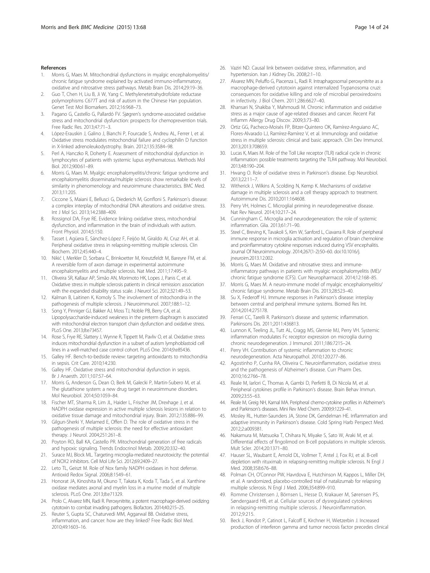- <span id="page-13-0"></span>1. Morris G, Maes M. Mitochondrial dysfunctions in myalgic encephalomyelitis/ chronic fatigue syndrome explained by activated immuno-inflammatory, oxidative and nitrosative stress pathways. Metab Brain Dis. 2014;29:19–36.
- 2. Guo T, Chen H, Liu B, Ji W, Yang C. Methylenetetrahydrofolate reductase polymorphisms C677T and risk of autism in the Chinese Han population. Genet Test Mol Biomarkers. 2012;16:968–73.
- 3. Pagano G, Castello G, Pallardó FV. Sjøgren's syndrome-associated oxidative stress and mitochondrial dysfunction: prospects for chemoprevention trials. Free Radic Res. 2013;47:71–3.
- López-Erauskin J, Galino J, Bianchi P, Fourcade S, Andreu AL, Ferrer I, et al. Oxidative stress modulates mitochondrial failure and cyclophilin D function in X-linked adrenoleukodystrophy. Brain. 2012;135:3584–98.
- 5. Perl A, Hanczko R, Doherty E. Assessment of mitochondrial dysfunction in lymphocytes of patients with systemic lupus erythematosus. Methods Mol Biol. 2012;900:61–89.
- Morris G, Maes M. Myalgic encephalomyelitis/chronic fatigue syndrome and encephalomyelitis disseminata/multiple sclerosis show remarkable levels of similarity in phenomenology and neuroimmune characteristics. BMC Med. 2013;11:205.
- 7. Ciccone S, Maiani E, Bellusci G, Diederich M, Gonfloni S. Parkinson's disease: a complex interplay of mitochondrial DNA alterations and oxidative stress. Int J Mol Sci. 2013;14:2388–409.
- Rossignol DA, Frye RE. Evidence linking oxidative stress, mitochondrial dysfunction, and inflammation in the brain of individuals with autism. Front Physiol. 2014;5:150.
- 9. Tasset I, Agüera E, Sánchez-López F, Feijóo M, Giraldo AI, Cruz AH, et al. Peripheral oxidative stress in relapsing-remitting multiple sclerosis. Clin Biochem. 2012;45:440–4.
- 10. Nikić I, Merkler D, Sorbara C, Brinkoetter M, Kreutzfeldt M, Bareyre FM, et al. A reversible form of axon damage in experimental autoimmune encephalomyelitis and multiple sclerosis. Nat Med. 2011;17:495–9.
- 11. Oliveira SR, Kallaur AP, Simão AN, Morimoto HK, Lopes J, Panis C, et al. Oxidative stress in multiple sclerosis patients in clinical remission: association with the expanded disability status scale. J Neurol Sci. 2012;321:49–53.
- 12. Kalman B, Laitinen K, Komoly S. The involvement of mitochondria in the pathogenesis of multiple sclerosis. J Neuroimmunol. 2007;188:1–12.
- 13. Song Y, Pinniger GJ, Bakker AJ, Moss TJ, Noble PB, Berry CA, et al. Lipopolysaccharide-induced weakness in the preterm diaphragm is associated with mitochondrial electron transport chain dysfunction and oxidative stress. PLoS One. 2013;8:e73457.
- 14. Rose S, Frye RE, Slattery J, Wynne R, Tippett M, Pavliv O, et al. Oxidative stress induces mitochondrial dysfunction in a subset of autism lymphoblastoid cell lines in a well-matched case control cohort. PLoS One. 2014;9:e85436.
- 15. Galley HF. Bench-to-bedside review: targeting antioxidants to mitochondria in sepsis. Crit Care. 2010;14:230.
- 16. Galley HF. Oxidative stress and mitochondrial dysfunction in sepsis. Br J Anaesth. 2011;107:57–64.
- 17. Morris G, Anderson G, Dean O, Berk M, Galecki P, Martin-Subero M, et al. The glutathione system: a new drug target in neuroimmune disorders. Mol Neurobiol. 2014;50:1059–84.
- 18. Fischer MT, Sharma R, Lim JL, Haider L, Frischer JM, Drexhage J, et al. NADPH oxidase expression in active multiple sclerosis lesions in relation to oxidative tissue damage and mitochondrial injury. Brain. 2012;135:886–99.
- 19. Gilgun-Sherki Y, Melamed E, Offen D. The role of oxidative stress in the pathogenesis of multiple sclerosis: the need for effective antioxidant therapy. J Neurol. 2004;251:261–8.
- 20. Poyton RO, Ball KA, Castello PR. Mitochondrial generation of free radicals and hypoxic signaling. Trends Endocrinol Metab. 2009;20:332–40.
- 21. Surace MJ, Block ML. Targeting microglia-mediated neurotoxicity: the potential of NOX2 inhibitors. Cell Mol Life Sci. 2012;69:2409–27.
- 22. Leto TL, Geiszt M. Role of Nox family NADPH oxidases in host defense. Antioxid Redox Signal. 2006;8:1549–61.
- 23. Honorat JA, Kinoshita M, Okuno T, Takata K, Koda T, Tada S, et al. Xanthine oxidase mediates axonal and myelin loss in a murine model of multiple sclerosis. PLoS One. 2013;8:e71329.
- 24. Prolo C, Alvarez MN, Radi R. Peroxynitrite, a potent macrophage-derived oxidizing cytotoxin to combat invading pathogens. Biofactors. 2014;40:215–25.
- 25. Reuter S, Gupta SC, Chaturvedi MM, Aggarwal BB. Oxidative stress, inflammation, and cancer: how are they linked? Free Radic Biol Med. 2010;49:1603–16.
- 26. Vaziri ND. Causal link between oxidative stress, inflammation, and hypertension. Iran J Kidney Dis. 2008;2:1–10.
- 27. Alvarez MN, Peluffo G, Piacenza L, Radi R. Intraphagosomal peroxynitrite as a macrophage-derived cytotoxin against internalized Trypanosoma cruzi: consequences for oxidative killing and role of microbial peroxiredoxins in infectivity. J Biol Chem. 2011;286:6627–40.
- 28. Khansari N, Shakiba Y, Mahmoudi M. Chronic inflammation and oxidative stress as a major cause of age-related diseases and cancer. Recent Pat Inflamm Allergy Drug Discov. 2009;3:73–80.
- 29. Ortiz GG, Pacheco-Moisés FP, Bitzer-Quintero OK, Ramírez-Anguiano AC, Flores-Alvarado LJ, Ramírez-Ramírez V, et al. Immunology and oxidative stress in multiple sclerosis: clinical and basic approach. Clin Dev Immunol. 2013;2013:708659.
- 30. Lucas K, Maes M. Role of the Toll Like receptor (TLR) radical cycle in chronic inflammation: possible treatments targeting the TLR4 pathway. Mol Neurobiol. 2013;48:190–204.
- 31. Hwang O. Role of oxidative stress in Parkinson's disease. Exp Neurobiol. 2013;22:11–7.
- 32. Witherick J, Wilkins A, Scolding N, Kemp K. Mechanisms of oxidative damage in multiple sclerosis and a cell therapy approach to treatment. Autoimmune Dis. 2010;2011:164608.
- 33. Perry VH, Holmes C. Microglial priming in neurodegenerative disease. Nat Rev Neurol. 2014;10:217–24.
- 34. Cunningham C. Microglia and neurodegeneration: the role of systemic inflammation. Glia. 2013;61:71–90.
- 35. Steel C, Breving K, Tavakoli S, Kim W, Sanford L, Ciavarra R. Role of peripheral immune response in microglia activation and regulation of brain chemokine and proinflammatory cytokine responses induced during VSV encephalitis. Journal Of Neuroimmunology. 2014;267(1-2):50–60. doi:10.1016/j. jneuroim.2013.12.002.
- 36. Morris G, Maes M. Oxidative and nitrosative stress and immuneinflammatory pathways in patients with myalgic encephalomyelitis (ME)/ chronic fatigue syndrome (CFS). Curr Neuropharmacol. 2014;12:168–85.
- 37. Morris G, Maes M. A neuro-immune model of myalgic encephalomyelitis/ chronic fatigue syndrome. Metab Brain Dis. 2013;28:523–40.
- 38. Su X, Federoff HJ. Immune responses in Parkinson's disease: interplay between central and peripheral immune systems. Biomed Res Int. 2014;2014:275178.
- 39. Ferrari CC, Tarelli R. Parkinson's disease and systemic inflammation. Parkinsons Dis. 2011;2011:436813.
- 40. Lunnon K, Teeling JL, Tutt AL, Cragg MS, Glennie MJ, Perry VH. Systemic inflammation modulates Fc receptor expression on microglia during chronic neurodegeneration. J Immunol. 2011;186:7215–24.
- 41. Perry VH. Contribution of systemic inflammation to chronic neurodegeneration. Acta Neuropathol. 2010;120:277–86.
- 42. Agostinho P, Cunha RA, Oliveira C. Neuroinflammation, oxidative stress and the pathogenesis of Alzheimer's disease. Curr Pharm Des. 2010;16:2766–78.
- 43. Reale M, Iarlori C, Thomas A, Gambi D, Perfetti B, Di Nicola M, et al. Peripheral cytokines profile in Parkinson's disease. Brain Behav Immun. 2009;23:55–63.
- 44. Reale M, Greig NH, Kamal MA. Peripheral chemo-cytokine profiles in Alzheimer's and Parkinson's diseases. Mini Rev Med Chem. 2009;9:1229–41.
- 45. Mosley RL, Hutter-Saunders JA, Stone DK, Gendelman HE. Inflammation and adaptive immunity in Parkinson's disease. Cold Spring Harb Perspect Med. 2012;2:a009381.
- 46. Nakamura M, Matsuoka T, Chihara N, Miyake S, Sato W, Araki M, et al. Differential effects of fingolimod on B-cell populations in multiple sclerosis. Mult Scler. 2014;20:1371–80.
- 47. Hauser SL, Waubant E, Arnold DL, Vollmer T, Antel J, Fox RJ, et al. B-cell depletion with rituximab in relapsing-remitting multiple sclerosis. N Engl J Med. 2008;358:676–88.
- 48. Polman CH, O'Connor PW, Havrdova E, Hutchinson M, Kappos L, Miller DH, et al. A randomized, placebo-controlled trial of natalizumab for relapsing multiple sclerosis. N Engl J Med. 2006;354:899–910.
- 49. Romme Christensen J, Börnsen L, Hesse D, Krakauer M, Sørensen PS, Søndergaard HB, et al. Cellular sources of dysregulated cytokines in relapsing-remitting multiple sclerosis. J Neuroinflammation. 2012;9:215.
- 50. Beck J, Rondot P, Catinot L, Falcoff E, Kirchner H, Wietzerbin J. Increased production of interferon gamma and tumor necrosis factor precedes clinical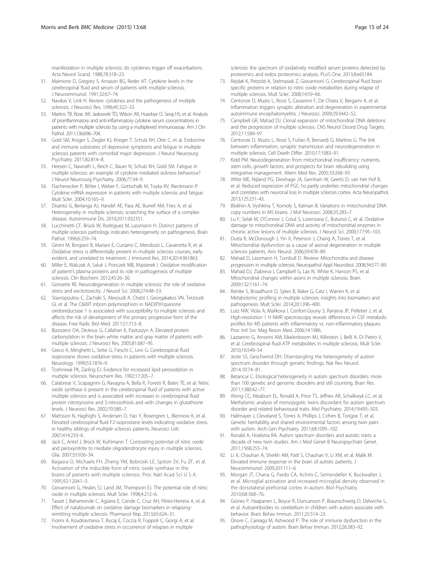<span id="page-14-0"></span>manifestation in multiple sclerosis: do cytokines trigger off exacerbations. Acta Neurol Scand. 1988;78:318–23.

- 51. Maimone D, Gregory S, Arnason BG, Reder AT. Cytokine levels in the cerebrospinal fluid and serum of patients with multiple sclerosis. J Neuroimmunol. 1991;32:67–74.
- 52. Navikas V, Link H. Review: cytokines and the pathogenesis of multiple sclerosis. J Neurosci Res. 1996;45:322–33.
- 53. Martins TB, Rose JW, Jaskowski TD, Wilson AR, Husebye D, Seraj HS, et al. Analysis of proinflammatory and anti-inflammatory cytokine serum concentrations in patients with multiple sclerosis by using a multiplexed immunoassay. Am J Clin Pathol. 2011;136:696–704.
- 54. Gold SM, Krüger S, Ziegler KJ, Krieger T, Schulz KH, Otte C, et al. Endocrine and immune substrates of depressive symptoms and fatigue in multiple sclerosis patients with comorbid major depression. J Neurol Neurosurg Psychiatry. 2011;82:814–8.
- 55. Heesen C, Nawrath L, Reich C, Bauer N, Schulz KH, Gold SM. Fatigue in multiple sclerosis: an example of cytokine mediated sickness behaviour? J Neurol Neurosurg Psychiatry. 2006;77:34–9.
- 56. Flachenecker P, Bihler I, Weber F, Gottschalk M, Toyka KV, Rieckmann P. Cytokine mRNA expression in patients with multiple sclerosis and fatigue. Mult Scler. 2004;10:165–9.
- 57. Disanto G, Berlanga AJ, Handel AE, Para AE, Burrell AM, Fries A, et al. Heterogeneity in multiple sclerosis: scratching the surface of a complex disease. Autoimmune Dis. 2010;2011:932351.
- 58. Lucchinetti CF, Brück W, Rodriguez M, Lassmann H. Distinct patterns of multiple sclerosis pathology indicates heterogeneity on pathogenesis. Brain Pathol. 1996;6:259–74.
- 59. Gironi M, Borgiani B, Mariani E, Cursano C, Mendozzi L, Cavarretta R, et al. Oxidative stress is differentially present in multiple sclerosis courses, early evident, and unrelated to treatment. J Immunol Res. 2014;2014:961863.
- 60. Miller E, Walczak A, Saluk J, Ponczek MB, Majsterek I. Oxidative modification of patient's plasma proteins and its role in pathogenesis of multiple sclerosis. Clin Biochem. 2012;45:26–30.
- 61. Gonsette RE. Neurodegeneration in multiple sclerosis: the role of oxidative stress and excitotoxicity. J Neurol Sci. 2008;274:48–53.
- 62. Stavropoulou C, Zachaki S, Alexoudi A, Chatzi I, Georgakakos VN, Terzoudi GI, et al. The C609T inborn polymorphism in NAD(P)H:quinone oxidoreductase 1 is associated with susceptibility to multiple sclerosis and affects the risk of development of the primary progressive form of the disease. Free Radic Biol Med. 2011;51:713–8.
- 63. Bizzozero OA, DeJesus G, Callahan K, Pastuszyn A. Elevated protein carbonylation in the brain white matter and gray matter of patients with multiple sclerosis. J Neurosci Res. 2005;81:687–95.
- 64. Greco A, Minghetti L, Sette G, Fieschi C, Levi G. Cerebrospinal fluid isoprostane shows oxidative stress in patients with multiple sclerosis. Neurology. 1999;53:1876–9.
- 65. Toshniwal PK, Zarling EJ. Evidence for increased lipid peroxidation in multiple sclerosis. Neurochem Res. 1992;17:205–7.
- 66. Calabrese V, Scapagnini G, Ravagna A, Bella R, Foresti R, Bates TE, et al. Nitric oxide synthase is present in the cerebrospinal fluid of patients with active multiple sclerosis and is associated with increases in cerebrospinal fluid protein nitrotyrosine and S-nitrosothiols and with changes in glutathione levels. J Neurosci Res. 2002;70:580–7.
- 67. Mattsson N, Haghighi S, Andersen O, Yao Y, Rosengren L, Blennow K, et al. Elevated cerebrospinal fluid F2-isoprostane levels indicating oxidative stress in healthy siblings of multiple sclerosis patients. Neurosci Lett. 2007;414:233–6.
- 68. Jack C, Antel J, Brück W, Kuhlmann T. Contrasting potential of nitric oxide and peroxynitrite to mediate oligodendrocyte injury in multiple sclerosis. Glia. 2007;55:926–34.
- 69. Bagasra O, Michaels FH, Zheng YM, Bobroski LE, Spitsin SV, Fu ZF, et al. Activation of the inducible form of nitric oxide synthase in the brains of patients with multiple sclerosis. Proc Natl Acad Sci U S A. 1995;92:12041–5.
- 70. Giovannoni G, Heales SJ, Land JM, Thompson EJ. The potential role of nitric oxide in multiple sclerosis. Mult Scler. 1998;4:212–6.
- 71. Tasset I, Bahamonde C, Agüera E, Conde C, Cruz AH, Pérez-Herrera A, et al. Effect of natalizumab on oxidative damage biomarkers in relapsingremitting multiple sclerosis. Pharmacol Rep. 2013;65:624–31.
- 72. Fiorini A, Koudriavtseva T, Bucaj E, Coccia R, Foppoli C, Giorgi A, et al. Involvement of oxidative stress in occurrence of relapses in multiple

sclerosis: the spectrum of oxidatively modified serum proteins detected by proteomics and redox proteomics analysis. PLoS One. 2013;8:e65184.

- 73. Rejdak K, Petzold A, Stelmasiak Z, Giovannoni G. Cerebrospinal fluid brain specific proteins in relation to nitric oxide metabolites during relapse of multiple sclerosis. Mult Scler. 2008;14:59–66.
- 74. Centonze D, Muzio L, Rossi S, Cavasinni F, De Chiara V, Bergami A, et al. Inflammation triggers synaptic alteration and degeneration in experimental autoimmune encephalomyelitis. J Neurosci. 2009;29:3442–52.
- 75. Campbell GR, Mahad DJ. Clonal expansion of mitochondrial DNA deletions and the progression of multiple sclerosis. CNS Neurol Disord Drug Targets. 2012;11:589–97.
- 76. Centonze D, Muzio L, Rossi S, Furlan R, Bernardi G, Martino G. The link between inflammation, synaptic transmission and neurodegeneration in multiple sclerosis. Cell Death Differ. 2010;17:1083–91.
- 77. Kidd PM. Neurodegeneration from mitochondrial insufficiency: nutrients, stem cells, growth factors, and prospects for brain rebuilding using integrative management. Altern Med Rev. 2005;10:268–93.
- 78. Witte ME, Nijland PG, Drexhage JA, Gerritsen W, Geerts D, van Het Hof B, et al. Reduced expression of PGC-1α partly underlies mitochondrial changes and correlates with neuronal loss in multiple sclerosis cortex. Acta Neuropathol. 2013;125:231–43.
- Blokhin A, Vyshkina T, Komoly S, Kalman B. Variations in mitochondrial DNA copy numbers in MS brains. J Mol Neurosci. 2008;35:283–7.
- 80. Lu F, Selak M, O'Connor J, Croul S, Lorenzana C, Butunoi C, et al. Oxidative damage to mitochondrial DNA and activity of mitochondrial enzymes in chronic active lesions of multiple sclerosis. J Neurol Sci. 2000;177:95–103.
- 81. Dutta R, McDonough J, Yin X, Peterson J, Chang A, Torres T, et al. Mitochondrial dysfunction as a cause of axonal degeneration in multiple sclerosis patients. Ann Neurol. 2006;59:478–89.
- 82. Mahad D, Lassmann H, Turnbull D, Review: Mitochondria and disease progression in multiple sclerosis. Neuropathol Appl Neurobiol. 2008;34:577–89.
- 83. Mahad DJ, Ziabreva I, Campbell G, Lax N, White K, Hanson PS, et al. Mitochondrial changes within axons in multiple sclerosis. Brain. 2009;132:1161–74.
- 84. Reinke S, Broadhurst D, Sykes B, Baker G, Catz I, Warren K, et al. Metabolomic profiling in multiple sclerosis: insights into biomarkers and pathogenesis. Mult Scler. 2014;20:1396–400.
- 85. Lutz NW, Viola A, Malikova I, Confort-Gouny S, Ranjeva JP, Pelletier J, et al. High-resolution 1 H NMR spectroscopy reveals differences in CSF metabolic profiles for MS patients with inflammatory vs. non-inflammatory plaques. Proc Intl Soc Mag Reson Med. 2006;14:1986.
- 86. Lazzarino G, Amorini AM, Eikelenboom MJ, Killestein J, Belli A, Di Pietro V, et al. Cerebrospinal fluid ATP metabolites in multiple sclerosis. Mult Scler. 2010;16:549–54.
- 87. Jeste SS, Geschwind DH. Disentangling the heterogeneity of autism spectrum disorder through genetic findings. Nat Rev Neurol. 2014;10:74–81.
- 88. Betancur C. Etiological heterogeneity in autism spectrum disorders: more than 100 genetic and genomic disorders and still counting. Brain Res. 2011;1380:42–77.
- 89. Wong CC, Meaburn EL, Ronald A, Price TS, Jeffries AR, Schalkwyk LC, et al. Methylomic analysis of monozygotic twins discordant for autism spectrum disorder and related behavioural traits. Mol Psychiatry. 2014;19:495–503.
- 90. Hallmayer J, Cleveland S, Torres A, Phillips J, Cohen B, Torigoe T, et al. Genetic heritability and shared environmental factors among twin pairs with autism. Arch Gen Psychiatry. 2011;68:1095–102.
- 91. Ronald A, Hoekstra RA. Autism spectrum disorders and autistic traits: a decade of new twin studies. Am J Med Genet B Neuropsychiatr Genet. 2011;156B:255–74.
- 92. Li X, Chauhan A, Sheikh AM, Patil S, Chauhan V, Li XM, et al. Malik M. Elevated immune response in the brain of autistic patients. J Neuroimmunol. 2009;207:111–6.
- 93. Morgan JT, Chana G, Pardo CA, Achim C, Semendeferi K, Buckwalter J, et al. Microglial activation and increased microglial density observed in the dorsolateral prefrontal cortex in autism. Biol Psychiatry. 2010;68:368–76.
- 94. Goines P, Haapanen L, Boyce R, Duncanson P, Braunschweig D, Delwiche L, et al. Autoantibodies to cerebellum in children with autism associate with behavior. Brain Behav Immun. 2011;25:514–23.
- 95. Onore C, Careaga M, Ashwood P. The role of immune dysfunction in the pathophysiology of autism. Brain Behav Immun. 2012;26:383–92.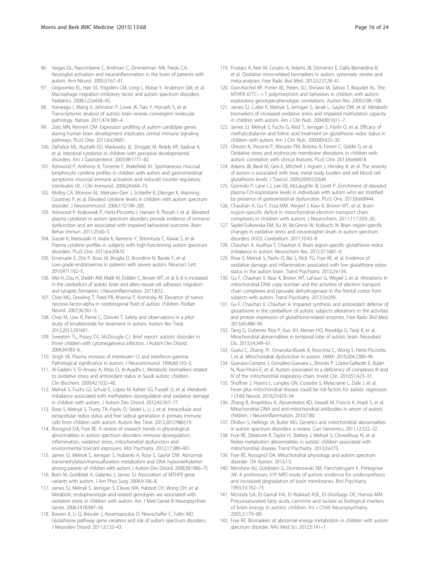- <span id="page-15-0"></span>96. Vargas DL, Nascimbene C, Krishnan C, Zimmerman AW, Pardo CA. Neuroglial activation and neuroinflammation in the brain of patients with autism. Ann Neurol. 2005;57:67–81.
- 97. Grigorenko EL, Han SS, Yrigollen CM, Leng L, Mizue Y, Anderson GM, et al. Macrophage migration inhibitory factor and autism spectrum disorders. Pediatrics. 2008;122:e438–45.
- 98. Voineagu I, Wang X, Johnston P, Lowe JK, Tian Y, Horvath S, et al. Transcriptomic analysis of autistic brain reveals convergent molecular pathology. Nature. 2011;474:380–4.
- 99. Ziats MN, Rennert OM. Expression profiling of autism candidate genes during human brain development implicates central immune signaling pathways. PLoS One. 2011;6:e24691.
- 100. DeFelice ML, Ruchelli ED, Markowitz JE, Strogatz M, Reddy KP, Kadivar K, et al. Intestinal cytokines in children with pervasive developmental disorders. Am J Gastroenterol. 2003;98:1777–82.
- 101. Ashwood P, Anthony A, Torrente F, Wakefield AJ. Spontaneous mucosal lymphocyte cytokine profiles in children with autism and gastrointestinal symptoms: mucosal immune activation and reduced counter regulatory interleukin-10. J Clin Immunol. 2004;24:664–73.
- 102. Molloy CA, Morrow AL, Meinzen-Derr J, Schleifer K, Dienger K, Manning-Courtney P, et al. Elevated cytokine levels in children with autism spectrum disorder. J Neuroimmunol. 2006;172:198–205.
- 103. Ashwood P, Krakowiak P, Hertz-Picciotto I, Hansen R, Pessah I, et al. Elevated plasma cytokines in autism spectrum disorders provide evidence of immune dysfunction and are associated with impaired behavioral outcome. Brain Behav Immun. 2011;25:40–5.
- 104. Suzuki K, Matsuzaki H, Iwata K, Kameno Y, Shimmura C, Kawai S, et al. Plasma cytokine profiles in subjects with high-functioning autism spectrum disorders. PLoS One. 2011;6:e20470.
- 105. Emanuele E, Orsi P, Boso M, Broglia D, Brondino N, Barale F, et al. Low-grade endotoxemia in patients with severe autism. Neurosci Lett. 2010;471:162–5.
- 106. Wei H, Zou H, Sheikh AM, Malik M, Dobkin C, Brown WT, et al. IL-6 is increased in the cerebellum of autistic brain and alters neural cell adhesion, migration and synaptic formation. J Neuroinflammation. 2011;8:52.
- 107. Chez MG, Dowling T, Patel PB, Khanna P, Kominsky M. Elevation of tumor necrosis factor-alpha in cerebrospinal fluid of autistic children. Pediatr Neurol. 2007;36:361–5.
- 108. Chez M, Low R, Parise C, Donnel T. Safety and observations in a pilot study of lenalidomide for treatment in autism. Autism Res Treat. 2012;2012:291601.
- 109. Sweeten TL, Posey DJ, McDougle CJ. Brief report: autistic disorder in three children with cytomegalovirus infection. J Autism Dev Disord. 2004;34:583–6.
- 110. Singh VK. Plasma increase of interleukin-12 and interferon-gamma. Pathological significance in autism. J Neuroimmunol. 1996;66:143–5.
- 111. Al-Gadani Y, El-Ansary A, Attas O, Al-Ayadhi L. Metabolic biomarkers related to oxidative stress and antioxidant status in Saudi autistic children. Clin Biochem. 2009;42:1032–40.
- 112. Melnyk S, Fuchs GJ, Schulz E, Lopez M, Kahler SG, Fussell JJ, et al. Metabolic imbalance associated with methylation dysregulation and oxidative damage in children with autism. J Autism Dev Disord. 2012;42:367–77.
- 113. Rose S, Melnyk S, Trusty TA, Pavliv O, Seidel L, Li J, et al. Intracellular and extracellular redox status and free radical generation in primary immune cells from children with autism. Autism Res Treat. 2012;2012:986519.
- 114. Rossignol DA, Frye RE. A review of research trends in physiological abnormalities in autism spectrum disorders: immune dysregulation, inflammation, oxidative stress, mitochondrial dysfunction and environmental toxicant exposures. Mol Psychiatry. 2012;17:389–401.
- 115. James SJ, Melnyk S, Jernigan S, Hubanks A, Rose S, Gaylor DW. Abnormal transmethylation/transsulfuration metabolism and DNA hypomethylation among parents of children with autism. J Autism Dev Disord. 2008;38:1966–75.
- 116. Boris M, Goldblatt A, Galanko J, James SJ. Association of MTHFR gene variants with autism. J Am Phys Surg. 2004;9:106–8.
- 117. James SJ, Melnyk S, Jernigan S, Cleves MA, Halsted CH, Wong DH, et al. Metabolic endophenotype and related genotypes are associated with oxidative stress in children with autism. Am J Med Genet B Neuropsychiatr Genet. 2006;141B:947–56.
- 118. Bowers K, Li Q, Bressler J, Avramopoulos D, Newschaffer C, Fallin MD. Glutathione pathway gene variation and risk of autism spectrum disorders. J Neurodev Disord. 2011;3:132–43.
- 119. Frustaci A, Neri M, Cesario A, Adams JB, Domenici E, Dalla Bernardina B, et al. Oxidative stress-related biomarkers in autism: systematic review and meta-analyses. Free Radic Biol Med. 2012;52:2128–41.
- 120. Goin-Kochel RP, Porter AE, Peters SU, Shinawi M, Sahoo T, Beaudet AL. The MTHFR 677C– > T polymorphism and behaviors in children with autism: exploratory genotype-phenotype correlations. Autism Res. 2009;2:98–108.
- 121. James SJ, Cutler P, Melnyk S, Jernigan S, Janak L, Gaylor DW, et al. Metabolic biomarkers of increased oxidative stress and impaired methylation capacity in children with autism. Am J Clin Nutr. 2004;80:1611–7.
- 122. James SJ, Melnyk S, Fuchs G, Reid T, Jernigan S, Pavliv O, et al. Efficacy of methylcobalamin and folinic acid treatment on glutathione redox status in children with autism. Am J Clin Nutr. 2009;89:425–30.
- 123. Ghezzo A, Visconti P, Abruzzo PM, Bolotta A, Ferreri C, Gobbi G, et al. Oxidative stress and erythrocyte membrane alterations in children with autism: correlation with clinical features. PLoS One. 2013;8:e66418.
- 124. Adams JB, Baral M, Geis E, Mitchell J, Ingram J, Hensley A, et al. The severity of autism is associated with toxic metal body burden and red blood cell glutathione levels. J Toxicol. 2009;2009:532640.
- 125. Gorrindo P, Lane CJ, Lee EB, McLaughlin B, Levitt P. Enrichment of elevated plasma F2t-isoprostane levels in individuals with autism who are stratified by presence of gastrointestinal dysfunction. PLoS One. 2013;8:e68444.
- 126. Chauhan A, Gu F, Essa MM, Wegiel J, Kaur K, Brown WT, et al. Brain region-specific deficit in mitochondrial electron transport chain complexes in children with autism. J Neurochem. 2011;117:209–20.
- 127. Sajdel-Sulkowska EM, Xu M, McGinnis W, Koibuchi N. Brain region-specific changes in oxidative stress and neurotrophin levels in autism spectrum disorders (ASD). Cerebellum. 2011;10:43–8.
- 128. Chauhan A, Audhya T, Chauhan V. Brain region-specific glutathione redox imbalance in autism. Neurochem Res. 2012;37:1681–9.
- 129. Rose S, Melnyk S, Pavliv O, Bai S, Nick TG, Frye RE, et al. Evidence of oxidative damage and inflammation associated with low glutathione redox status in the autism brain. Transl Psychiatry. 2012;2:e134.
- 130. Gu F, Chauhan V, Kaur K, Brown WT, LaFauci G, Wegiel J, et al. Alterations in mitochondrial DNA copy number and the activities of electron transport chain complexes and pyruvate dehydrogenase in the frontal cortex from subjects with autism. Transl Psychiatry. 2013;3:e299.
- 131. Gu F, Chauhan V, Chauhan A. Impaired synthesis and antioxidant defense of glutathione in the cerebellum of autistic subjects: alterations in the activities and protein expression of glutathione-related enzymes. Free Radic Biol Med. 2013;65:488–96.
- 132. Tang G, Gutierrez Rios P, Kuo SH, Akman HO, Rosoklija G, Tanji K, et al. Mitochondrial abnormalities in temporal lobe of autistic brain. Neurobiol Dis. 2013;54:349–61.
- 133. Giulivi C, Zhang YF, Omanska-Klusek A, Ross-Inta C, Wong S, Hertz-Picciotto I, et al. Mitochondrial dysfunction in autism. JAMA. 2010;304:2389–96.
- 134. Guevara-Campos J, González-Guevara L, Briones P, López-Gallardo E, Bulán N, Ruiz-Pesini E, et al. Autism associated to a deficiency of complexes III and IV of the mitochondrial respiratory chain. Invest Clin. 2010;51:423–31.
- 135. Shoffner J, Hyams L, Langley GN, Cossette S, Mylacraine L, Dale J, et al. Fever plus mitochondrial disease could be risk factors for autistic regression. J Child Neurol. 2010;25:429–34.
- 136. Zhang B, Angelidou A, Alysandratos KD, Vasiadi M, Francis K, Asadi S, et al. Mitochondrial DNA and anti-mitochondrial antibodies in serum of autistic children. J Neuroinflammation. 2010;7:80.
- 137. Dhillon S, Hellings JA, Butler MG. Genetics and mitochondrial abnormalities in autism spectrum disorders: a review. Curr Genomics. 2011;12:322–32.
- 138. Frye RE, Delatorre R, Taylor H, Slattery J, Melnyk S, Chowdhury N, et al. Redox metabolism abnormalities in autistic children associated with mitochondrial disease. Transl Psychiatry. 2013;3:e273.
- 139. Frye RE, Rossignol DA. Mitochondrial physiology and autism spectrum disorder. OA Autism. 2013;1:5.
- 140. Minshew NJ, Goldstein G, Dombrowski SM, Panchalingam K, Pettegrew JW. A preliminary 31P MRS study of autism: evidence for undersynthesis and increased degradation of brain membranes. Biol Psychiatry. 1993;33:762–73.
- 141. Mostafa GA, El-Gamal HA, El-Wakkad ASE, El-Shorbagy OE, Hamza MM. Polyunsaturated fatty acids, carnitine and lactate as biological markers of brain energy in autistic children. Int J Child Neuropsychiatry. 2005;2:179–88.
- 142. Frye RE. Biomarkers of abnormal energy metabolism in children with autism spectrum disorder. NAJ Med Sci. 2012;5:141–7.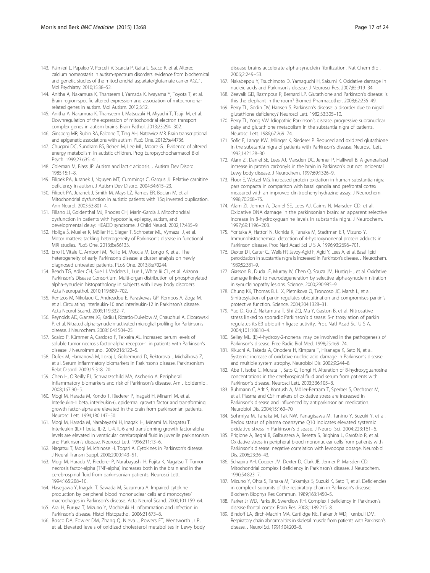- <span id="page-16-0"></span>143. Palmieri L, Papaleo V, Porcelli V, Scarcia P, Gaita L, Sacco R, et al. Altered calcium homeostasis in autism-spectrum disorders: evidence from biochemical and genetic studies of the mitochondrial aspartate/glutamate carrier AGC1. Mol Psychiatry. 2010;15:38–52.
- 144. Anitha A, Nakamura K, Thanseem I, Yamada K, Iwayama Y, Toyota T, et al. Brain region-specific altered expression and association of mitochondriarelated genes in autism. Mol Autism. 2012;3:12.
- 145. Anitha A, Nakamura K, Thanseem I, Matsuzaki H, Miyachi T, Tsujii M, et al. Downregulation of the expression of mitochondrial electron transport complex genes in autism brains. Brain Pathol. 2013;23:294–302.
- 146. Ginsberg MR, Rubin RA, Falcone T, Ting AH, Natowicz MR. Brain transcriptional and epigenetic associations with autism. PLoS One. 2012;7:e44736.
- 147. Chugani DC, Sundram BS, Behen M, Lee ML, Moore GJ. Evidence of altered energy metabolism in autistic children. Prog Europsychopharmacol Biol Psych. 1999;23:635–41.
- 148. Coleman M, Blass JP. Autism and lactic acidosis. J Autism Dev Disord. 1985;15:1–8.
- 149. Filipek PA, Juranek J, Nguyen MT, Cummings C, Gargus JJ. Relative carnitine deficiency in autism. J Autism Dev Disord. 2004;34:615–23.
- 150. Filipek PA, Juranek J, Smith M, Mays LZ, Ramos ER, Bocian M, et al. Mitochondrial dysfunction in autistic patients with 15q inverted duplication. Ann Neurol. 2003;53:801–4.
- 151. Fillano JJ, Goldenthal MJ, Rhodes CH, Marín-García J. Mitochondrial dysfunction in patients with hypotonia, epilepsy, autism, and developmental delay: HEADD syndrome. J Child Neurol. 2002;17:435–9.
- 152. Holiga Š, Mueller K, Möller HE, Sieger T, Schroeter ML, Vymazal J, et al. Motor matters: tackling heterogeneity of Parkinson's disease in functional MRI studies. PLoS One. 2013;8:e56133.
- 153. Erro R, Vitale C, Amboni M, Picillo M, Moccia M, Longo K, et al. The heterogeneity of early Parkinson's disease: a cluster analysis on newly diagnosed untreated patients. PLoS One. 2013;8:e70244.
- 154. Beach TG, Adler CH, Sue LI, Vedders L, Lue L, White Iii CL, et al. Arizona Parkinson's Disease Consortium. Multi-organ distribution of phosphorylated alpha-synuclein histopathology in subjects with Lewy body disorders. Acta Neuropathol. 2010;119:689–702.
- 155. Rentzos M, Nikolaou C, Andreadou E, Paraskevas GP, Rombos A, Zoga M, et al. Circulating interleukin-10 and interleukin-12 in Parkinson's disease. Acta Neurol Scand. 2009;119:332–7.
- 156. Reynolds AD, Glanzer JG, Kadiu I, Ricardo-Dukelow M, Chaudhuri A, Ciborowski P, et al. Nitrated alpha-synuclein-activated microglial profiling for Parkinson's disease. J Neurochem. 2008;104:1504–25.
- 157. Scalzo P, Kümmer A, Cardoso F, Teixeira AL. Increased serum levels of soluble tumor necrosis factor-alpha receptor-1 in patients with Parkinson's disease. J Neuroimmunol. 2009;216:122–5.
- 158. Dufek M, Hamanová M, Lokaj J, Goldemund D, Rektorová I, Michálková Z, et al. Serum inflammatory biomarkers in Parkinson's disease. Parkinsonism Relat Disord. 2009;15:318–20.
- 159. Chen H, O'Reilly EJ, Schwarzschild MA, Ascherio A. Peripheral inflammatory biomarkers and risk of Parkinson's disease. Am J Epidemiol. 2008;167:90–5.
- 160. Mogi M, Harada M, Kondo T, Riederer P, Inagaki H, Minami M, et al. Interleukin-1 beta, interleukin-6, epidermal growth factor and transforming growth factor-alpha are elevated in the brain from parkinsonian patients. Neurosci Lett. 1994;180:147–50.
- 161. Mogi M, Harada M, Narabayashi H, Inagaki H, Minami M, Nagatsu T. Interleukin (IL)-1 beta, IL-2, IL-4, IL-6 and transforming growth factor-alpha levels are elevated in ventricular cerebrospinal fluid in juvenile parkinsonism and Parkinson's disease. Neurosci Lett. 1996;211:13–6.
- 162. Nagatsu T, Mogi M, Ichinose H, Togari A. Cytokines in Parkinson's disease. J Neural Transm Suppl. 2000;2000:143–51.
- 163. Mogi M, Harada M, Riederer P, Narabayashi H, Fujita K, Nagatsu T. Tumor necrosis factor-alpha (TNF-alpha) increases both in the brain and in the cerebrospinal fluid from parkinsonian patients. Neurosci Lett. 1994;165:208–10.
- 164. Hasegawa Y, Inagaki T, Sawada M, Suzumura A. Impaired cytokine production by peripheral blood mononuclear cells and monocytes/ macrophages in Parkinson's disease. Acta Neurol Scand. 2000;101:159–64.
- 165. Arai H, Furuya T, Mizuno Y, Mochizuki H. Inflammation and infection in Parkinson's disease. Histol Histopathol. 2006;21:673–8.
- 166. Bosco DA, Fowler DM, Zhang Q, Nieva J, Powers ET, Wentworth Jr P, et al. Elevated levels of oxidized cholesterol metabolites in Lewy body

disease brains accelerate alpha-synuclein fibrilization. Nat Chem Biol. 2006;2:249–53.

- 167. Nakabeppu Y, Tsuchimoto D, Yamaguchi H, Sakumi K. Oxidative damage in nucleic acids and Parkinson's disease. J Neurosci Res. 2007;85:919–34.
- 168. Zeevalk GD, Razmpour R, Bernard LP. Glutathione and Parkinson's disease: is this the elephant in the room? Biomed Pharmacother. 2008;62:236–49.
- 169. Perry TL, Godin DV, Hansen S. Parkinson's disease: a disorder due to nigral glutathione deficiency? Neurosci Lett. 1982;33:305–10.
- 170. Perry TL, Yong VW. Idiopathic Parkinson's disease, progressive supranuclear palsy and glutathione metabolism in the substantia nigra of patients. Neurosci Lett. 1986;67:269–74.
- 171. Sofic E, Lange KW, Jellinger K, Riederer P. Reduced and oxidized glutathione in the substantia nigra of patients with Parkinson's disease. Neurosci Lett. 1992;142:128–30.
- 172. Alam ZI, Daniel SE, Lees AJ, Marsden DC, Jenner P, Halliwell B. A generalised increase in protein carbonyls in the brain in Parkinson's but not incidental Lewy body disease. J Neurochem. 1997;69:1326–9.
- 173. Floor E, Wetzel MG. Increased protein oxidation in human substantia nigra pars compacta in comparison with basal ganglia and prefrontal cortex measured with an improved dinitrophenylhydrazine assay. J Neurochem. 1998;70:268–75.
- 174. Alam ZI, Jenner A, Daniel SE, Lees AJ, Cairns N, Marsden CD, et al. Oxidative DNA damage in the parkinsonian brain: an apparent selective increase in 8-hydroxyguanine levels in substantia nigra. J Neurochem. 1997;69:1196–203.
- 175. Yoritaka A, Hattori N, Uchida K, Tanaka M, Stadtman ER, Mizuno Y. Immunohistochemical detection of 4-hydroxynonenal protein adducts in Parkinson disease. Proc Natl Acad Sci U S A. 1996;93:2696–701.
- 176. Dexter DT, Carter CJ, Wells FR, Javoy-Agid F, Agid Y, Lees A, et al. Basal lipid peroxidation in substantia nigra is increased in Parkinson's disease. J Neurochem. 1989;52:381–9.
- 177. Giasson BI, Duda JE, Murray IV, Chen Q, Souza JM, Hurtig HI, et al. Oxidative damage linked to neurodegeneration by selective alpha-synuclein nitration in synucleinopathy lesions. Science. 2000;290:985–9.
- 178. Chung KK, Thomas B, Li X, Pletnikova O, Troncoso JC, Marsh L, et al. S-nitrosylation of parkin regulates ubiquitination and compromises parkin's protective function. Science. 2004;304:1328–31.
- 179. Yao D, Gu Z, Nakamura T, Shi ZQ, Ma Y, Gaston B, et al. Nitrosative stress linked to sporadic Parkinson's disease: S-nitrosylation of parkin regulates its E3 ubiquitin ligase activity. Proc Natl Acad Sci U S A. 2004;101:10810–4.
- 180. Selley ML. (E)-4-hydroxy-2-nonenal may be involved in the pathogenesis of Parkinson's disease. Free Radic Biol Med. 1998;25:169–74.
- 181. Kikuchi A, Takeda A, Onodera H, Kimpara T, Hisanaga K, Sato N, et al. Systemic increase of oxidative nucleic acid damage in Parkinson's disease and multiple system atrophy. Neurobiol Dis. 2002;9:244–8.
- 182. Abe T, Isobe C, Murata T, Sato C, Tohgi H. Alteration of 8-hydroxyguanosine concentrations in the cerebrospinal fluid and serum from patients with Parkinson's disease. Neurosci Lett. 2003;336:105–8.
- 183. Buhmann C, Arlt S, Kontush A, Möller-Bertram T, Sperber S, Oechsner M, et al. Plasma and CSF markers of oxidative stress are increased in Parkinson's disease and influenced by antiparkinsonian medication. Neurobiol Dis. 2004;15:160–70.
- 184. Sohmiya M, Tanaka M, Tak NW, Yanagisawa M, Tanino Y, Suzuki Y, et al. Redox status of plasma coenzyme Q10 indicates elevated systemic oxidative stress in Parkinson's disease. J Neurol Sci. 2004;223:161–6.
- 185. Prigione A, Begni B, Galbussera A, Beretta S, Brighina L, Garofalo R, et al. Oxidative stress in peripheral blood mononuclear cells from patients with Parkinson's disease: negative correlation with levodopa dosage. Neurobiol Dis. 2006;23:36–43.
- 186. Schapira AH, Cooper JM, Dexter D, Clark JB, Jenner P, Marsden CD. Mitochondrial complex I deficiency in Parkinson's disease. J Neurochem. 1990;54:823–7.
- 187. Mizuno Y, Ohta S, Tanaka M, Takamiya S, Suzuki K, Sato T, et al. Deficiencies in complex I subunits of the respiratory chain in Parkinson's disease. Biochem Biophys Res Commun. 1989;163:1450–5.
- 188. Parker Jr WD, Parks JK, Swerdlow RH. Complex I deficiency in Parkinson's disease frontal cortex. Brain Res. 2008;1189:215–8.
- 189. Bindoff LA, Birch-Machin MA, Cartlidge NE, Parker Jr WD, Turnbull DM. Respiratory chain abnormalities in skeletal muscle from patients with Parkinson's disease. J Neurol Sci. 1991;104:203–8.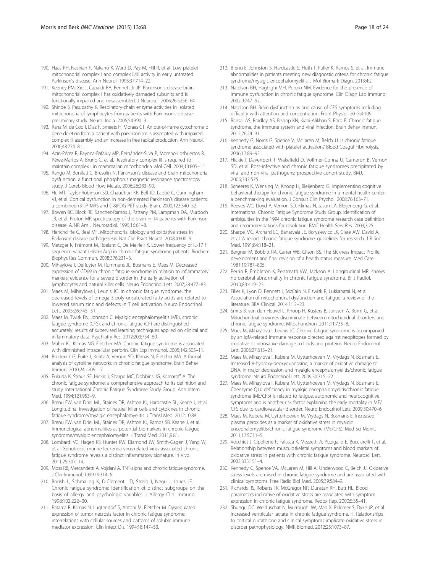- <span id="page-17-0"></span>190. Haas RH, Nasirian F, Nakano K, Ward D, Pay M, Hill R, et al. Low platelet mitochondrial complex I and complex II/III activity in early untreated Parkinson's disease. Ann Neurol. 1995;37:714–22.
- 191. Keeney PM, Xie J, Capaldi RA, Bennett Jr JP. Parkinson's disease brain mitochondrial complex I has oxidatively damaged subunits and is functionally impaired and misassembled. J Neurosci. 2006;26:5256–64.
- 192. Shinde S, Pasupathy K. Respiratory-chain enzyme activities in isolated mitochondria of lymphocytes from patients with Parkinson's disease: preliminary study. Neurol India. 2006;54:390–3.
- 193. Rana M, de Coo I, Diaz F, Smeets H, Moraes CT. An out-of-frame cytochrome b gene deletion from a patient with parkinsonism is associated with impaired complex III assembly and an increase in free radical production. Ann Neurol. 2000;48:774–81.
- 194. Acín-Pérez R, Bayona-Bafaluy MP, Fernández-Silva P, Moreno-Loshuertos R, Pérez-Martos A, Bruno C, et al. Respiratory complex III is required to maintain complex I in mammalian mitochondria. Mol Cell. 2004;13:805–15.
- 195. Rango M, Bonifati C, Bresolin N. Parkinson's disease and brain mitochondrial dysfunction: a functional phosphorus magnetic resonance spectroscopy study. J Cereb Blood Flow Metab. 2006;26:283–90.
- 196. Hu MT, Taylor-Robinson SD, Chaudhuri KR, Bell JD, Labbé C, Cunningham VJ, et al. Cortical dysfunction in non-demented Parkinson's disease patients: a combined (31)P-MRS and (18)FDG-PET study. Brain. 2000;123:340–52.
- 197. Bowen BC, Block RE, Sanchez-Ramos J, Pattany PM, Lampman DA, Murdoch JB, et al. Proton MR spectroscopy of the brain in 14 patients with Parkinson disease. AJNR Am J Neuroradiol. 1995;16:61–8.
- 198. Henchcliffe C, Beal MF. Mitochondrial biology and oxidative stress in Parkinson disease pathogenesis. Nat Clin Pract Neurol. 2008;4:600–9.
- 199. Metzger K, Frémont M, Roelant C, De Meirleir K. Lower frequency of IL-17 F sequence variant (His161Arg) in chronic fatigue syndrome patients. Biochem Biophys Res Commun. 2008;376:231–3.
- 200. Mihaylova I, DeRuyter M, Rummens JL, Bosmans E, Maes M. Decreased expression of CD69 in chronic fatigue syndrome in relation to inflammatory markers: evidence for a severe disorder in the early activation of T lymphocytes and natural killer cells. Neuro Endocrinol Lett. 2007;28:477–83.
- 201. Maes M, Mihaylova I, Leunis JC. In chronic fatigue syndrome, the decreased levels of omega-3 poly-unsaturated fatty acids are related to lowered serum zinc and defects in T cell activation. Neuro Endocrinol Lett. 2005;26:745–51.
- 202. Maes M, Twisk FN, Johnson C. Myalgic encephalomyelitis (ME), chronic fatigue syndrome (CFS), and chronic fatigue (CF) are distinguished accurately: results of supervised learning techniques applied on clinical and inflammatory data. Psychiatry Res. 2012;200:754–60.
- 203. Maher KJ, Klimas NG, Fletcher MA. Chronic fatigue syndrome is associated with diminished intracellular perforin. Clin Exp Immunol. 2005;142:505–11.
- 204. Broderick G, Fuite J, Kreitz A, Vernon SD, Klimas N, Fletcher MA. A formal analysis of cytokine networks in chronic fatigue syndrome. Brain Behav Immun. 2010;24:1209–17.
- 205. Fukuda K, Straus SE, Hickie I, Sharpe MC, Dobbins JG, Komaroff A. The chronic fatigue syndrome: a comprehensive approach to its definition and study. International Chronic Fatigue Syndrome Study Group. Ann Intern Med. 1994;121:953–9.
- 206. Brenu EW, van Driel ML, Staines DR, Ashton KJ, Hardcastle SL, Keane J, et al. Longitudinal investigation of natural killer cells and cytokines in chronic fatigue syndrome/myalgic encephalomyelitis. J Transl Med. 2012;10:88.
- 207. Brenu EW, van Driel ML, Staines DR, Ashton KJ, Ramos SB, Keane J, et al. Immunological abnormalities as potential biomarkers in chronic fatigue syndrome/myalgic encephalomyelitis. J Transl Med. 2011;9:81.
- 208. Lombardi VC, Hagen KS, Hunter KW, Diamond JW, Smith-Gagen J, Yang W, et al. Xenotropic murine leukemia virus-related virus-associated chronic fatigue syndrome reveals a distinct inflammatory signature. In Vivo. 2011;25:307–14.
- 209. Moss RB, Mercandetti A, Vojdani A. TNF-alpha and chronic fatigue syndrome. J Clin Immunol. 1999;19:314–6.
- 210. Borish L, Schmaling K, DiClementi JD, Streib J, Negri J, Jones JF. Chronic fatigue syndrome: identification of distinct subgroups on the basis of allergy and psychologic variables. J Allergy Clin Immunol. 1998;102:222–30.
- 211. Patarca R, Klimas N, Lugtendorf S, Antoni M, Fletcher M. Dysregulated expression of tumor necrosis factor in chronic fatigue syndrome: interrelations with cellular sources and patterns of soluble immune mediator expression. Clin Infect Dis. 1994;18:147–53.
- 212. Brenu E, Johnston S, Hardcastle S, Huth T, Fuller K, Ramos S, et al. Immune abnormalities in patients meeting new diagnostic criteria for chronic fatigue syndrome/myalgic encephalomyelitis. J Mol Biomark Diagn. 2013;4:2.
- 213. Natelson BH, Haghighi MH, Ponzio NM. Evidence for the presence of immune dysfunction in chronic fatigue syndrome. Clin Diagn Lab Immunol. 2002;9:747–52.
- 214. Natelson BH. Brain dysfunction as one cause of CFS symptoms including difficulty with attention and concentration. Front Physiol. 2013;4:109.
- 215. Bansal AS, Bradley AS, Bishop KN, Kiani-Alikhan S, Ford B. Chronic fatigue syndrome, the immune system and viral infection. Brain Behav Immun. 2012;26:24–31.
- 216. Kennedy G, Norris G, Spence V, McLaren M, Belch JJ. Is chronic fatigue syndrome associated with platelet activation? Blood Coagul Fibrinolysis. 2006;17:89–92.
- 217. Hickie I, Davenport T, Wakefield D, Vollmer-Conna U, Cameron B, Vernon SD, et al. Post-infective and chronic fatigue syndromes precipitated by viral and non-viral pathogens: prospective cohort study. BMJ. 2006;333:575.
- 218. Scheeres K, Wensing M, Knoop H, Bleijenberg G. Implementing cognitive behavioral therapy for chronic fatigue syndrome in a mental health center: a benchmarking evaluation. J Consult Clin Psychol. 2008;76:163–71.
- 219. Reeves WC, Lloyd A, Vernon SD, Klimas N, Jason LA, Bleijenberg G, et al. International Chronic Fatigue Syndrome Study Group. Identification of ambiguities in the 1994 chronic fatigue syndrome research case definition and recommendations for resolution. BMC Health Serv Res. 2003;3:25.
- 220. Sharpe MC, Archard LC, Banatvala JE, Borysiewicz LK, Clare AW, David A, et al. A report–chronic fatigue syndrome: guidelines for research. J R Soc Med. 1991;84:118–21.
- 221. Bergner M, Bobbitt RA, Carter WB, Gilson BS. The Sickness Impact Profile: development and final revision of a health status measure. Med Care. 1981;19:787–805.
- 222. Perrin R, Embleton K, Pentreath VW, Jackson A. Longitudinal MRI shows no cerebral abnormality in chronic fatigue syndrome. Br J Radiol. 2010;83:419–23.
- 223. Filler K, Lyon D, Bennett J, McCain N, Elswisk R, Lukkahatai N, et al. Association of mitochondrial dysfunction and fatigue: a review of the literature. BBA Clinical. 2014;1:12–23.
- 224. Smits B, van den Heuvel L, Knoop H, Küsters B, Janssen A, Borm G, et al. Mitochondrial enzymes discriminate between mitochondrial disorders and chronic fatigue syndrome. Mitochondrion. 2011;11:735–8.
- 225. Maes M, Mihaylova I, Leunis JC. Chronic fatigue syndrome is accompanied by an IgM-related immune response directed against neopitopes formed by oxidative or nitrosative damage to lipids and proteins. Neuro Endocrinol Lett. 2006;27:615–21.
- 226. Maes M, Mihaylova I, Kubera M, Uytterhoeven M, Vrydags N, Bosmans E. Increased 8-hydroxy-deoxyguanosine, a marker of oxidative damage to DNA, in major depression and myalgic encephalomyelitis/chronic fatigue syndrome. Neuro Endocrinol Lett. 2009;30:715–22.
- 227. Maes M, Mihaylova I, Kubera M, Uytterhoeven M, Vrydags N, Bosmans E. Coenzyme Q10 deficiency in myalgic encephalomyelitis/chronic fatigue syndrome (ME/CFS) is related to fatigue, autonomic and neurocognitive symptoms and is another risk factor explaining the early mortality in ME/ CFS due to cardiovascular disorder. Neuro Endocrinol Lett. 2009;30:470–6.
- 228. Maes M, Kubera M, Uytterhoeven M, Vrydags N, Bosmans E. Increased plasma peroxides as a marker of oxidative stress in myalgic encephalomyelitis/chronic fatigue syndrome (ME/CFS). Med Sci Monit. 2011;17:SC11–5.
- 229. Vecchiet J, Cipollone F, Falasca K, Mezzetti A, Pizzigallo E, Bucciarelli T, et al. Relationship between musculoskeletal symptoms and blood markers of oxidative stress in patients with chronic fatigue syndrome. Neurosci Lett. 2003;335:151–4.
- 230. Kennedy G, Spence VA, McLaren M, Hill A, Underwood C, Belch JJ. Oxidative stress levels are raised in chronic fatigue syndrome and are associated with clinical symptoms. Free Radic Biol Med. 2005;39:584–9.
- 231. Richards RS, Roberts TK, McGregor NR, Dunstan RH, Butt HL. Blood parameters indicative of oxidative stress are associated with symptom expression in chronic fatigue syndrome. Redox Rep. 2000;5:35–41.
- 232. Shungu DC, Weiduschat N, Murrough JW, Mao X, Pillemer S, Dyke JP, et al. Increased ventricular lactate in chronic fatigue syndrome. III. Relationships to cortical glutathione and clinical symptoms implicate oxidative stress in disorder pathophysiology. NMR Biomed. 2012;25:1073–87.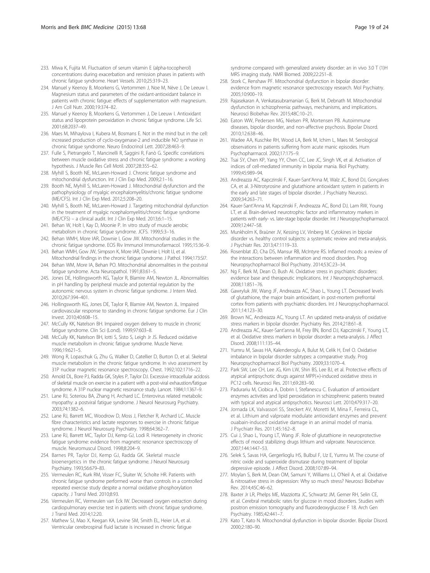- <span id="page-18-0"></span>233. Miwa K, Fujita M. Fluctuation of serum vitamin E (alpha-tocopherol) concentrations during exacerbation and remission phases in patients with chronic fatigue syndrome. Heart Vessels. 2010;25:319–23.
- 234. Manuel y Keenoy B, Moorkens G, Vertommen J, Noe M, Nève J, De Leeuw I. Magnesium status and parameters of the oxidant-antioxidant balance in patients with chronic fatigue: effects of supplementation with magnesium. J Am Coll Nutr. 2000;19:374–82.
- 235. Manuel y Keenoy B, Moorkens G, Vertommen J, De Leeuw I. Antioxidant status and lipoprotein peroxidation in chronic fatigue syndrome. Life Sci. 2001;68:2037–49.
- 236. Maes M, Mihaylova I, Kubera M, Bosmans E. Not in the mind but in the cell: increased production of cyclo-oxygenase-2 and inducible NO synthase in chronic fatigue syndrome. Neuro Endocrinol Lett. 2007;28:463–9.
- 237. Fulle S, Pietrangelo T, Mancinelli R, Saggini R, Fanò G. Specific correlations between muscle oxidative stress and chronic fatigue syndrome: a working hypothesis. J Muscle Res Cell Motil. 2007;28:355–62.
- 238. Myhill S, Booth NE, McLaren-Howard J. Chronic fatigue syndrome and mitochondrial dysfunction. Int J Clin Exp Med. 2009;2:1–16.
- 239. Booth NE, Myhill S, McLaren-Howard J. Mitochondrial dysfunction and the pathophysiology of myalgic encephalomyelitis/chronic fatigue syndrome (ME/CFS). Int J Clin Exp Med. 2012;5:208–20.
- 240. Myhill S, Booth NE, McLaren-Howard J. Targeting mitochondrial dysfunction in the treatment of myalgic ncephalomyelitis/chronic fatigue syndrome (ME/CFS) – a clinical audit. Int J Clin Exp Med. 2013;6:1–15.
- 241. Behan W, Holt I, Kay D, Moonie P. In vitro study of muscle aerobic metabolism in chronic fatigue syndrome. JCFS. 1999;5:3–16.
- 242. Behan WMH, More IAR, Downie I, Gow JW. Mitochondrial studies in the chronic fatigue syndrome. EOS Riv Immunol Immunofarmacol. 1995;15:36–9.
- 243. Behan WMH, Gow JW, Simpson K, More IAR, Downie I, Holt IJ, et al. Mitochondrial findings in the chronic fatigue syndrome. J Pathol. 1994;173:SI7.
- 244. Behan WM, More IA, Behan PO. Mitochondrial abnormalities in the postviral fatigue syndrome. Acta Neuropathol. 1991;83:61–5.
- 245. Jones DE, Hollingsworth KG, Taylor R, Blamire AM, Newton JL. Abnormalities in pH handling by peripheral muscle and potential regulation by the autonomic nervous system in chronic fatigue syndrome. J Intern Med. 2010;267:394–401.
- 246. Hollingsworth KG, Jones DE, Taylor R, Blamire AM, Newton JL. Impaired cardiovascular response to standing in chronic fatigue syndrome. Eur J Clin Invest. 2010;40:608–15.
- 247. McCully KK, Natelson BH. Impaired oxygen delivery to muscle in chronic fatigue syndrome. Clin Sci (Lond). 1999;97:603–8.
- 248. McCully KK, Natelson BH, Iotti S, Sisto S, Leigh Jr JS. Reduced oxidative muscle metabolism in chronic fatigue syndrome. Muscle Nerve. 1996;19:621–5.
- 249. Wong R, Lopaschuk G, Zhu G, Walker D, Catellier D, Burton D, et al. Skeletal muscle metabolism in the chronic fatigue syndrome. In vivo assessment by 31P nuclear magnetic resonance spectroscopy. Chest. 1992;102:1716–22.
- 250. Arnold DL, Bore PJ, Radda GK, Styles P, Taylor DJ. Excessive intracellular acidosis of skeletal muscle on exercise in a patient with a post-viral exhaustion/fatigue syndrome. A 31P nuclear magnetic resonance study. Lancet. 1984;1:1367–9.
- 251. Lane RJ, Soteriou BA, Zhang H, Archard LC. Enterovirus related metabolic myopathy: a postviral fatigue syndrome. J Neurol Neurosurg Psychiatry. 2003;74:1382–6.
- 252. Lane RJ, Barrett MC, Woodrow D, Moss J, Fletcher R, Archard LC. Muscle fibre characteristics and lactate responses to exercise in chronic fatigue syndrome. J Neurol Neurosurg Psychiatry. 1998;64:362–7.
- 253. Lane RJ, Barrett MC, Taylor DJ, Kemp GJ, Lodi R. Heterogeneity in chronic fatigue syndrome: evidence from magnetic resonance spectroscopy of muscle. Neuromuscul Disord. 1998;8:204–9.
- 254. Barnes PR, Taylor DJ, Kemp GJ, Radda GK. Skeletal muscle bioenergetics in the chronic fatigue syndrome. J Neurol Neurosurg Psychiatry. 1993;56:679–83.
- 255. Vermeulen RC, Kurk RM, Visser FC, Sluiter W, Scholte HR. Patients with chronic fatigue syndrome performed worse than controls in a controlled repeated exercise study despite a normal oxidative phosphorylation capacity. J Transl Med. 2010;8:93.
- 256. Vermeulen RC, Vermeulen van Eck IW. Decreased oxygen extraction during cardiopulmonary exercise test in patients with chronic fatigue syndrome. J Transl Med. 2014;12:20.
- 257. Mathew SJ, Mao X, Keegan KA, Levine SM, Smith EL, Heier LA, et al. Ventricular cerebrospinal fluid lactate is increased in chronic fatigue

syndrome compared with generalized anxiety disorder: an in vivo 3.0 T (1)H MRS imaging study. NMR Biomed. 2009;22:251–8.

- 258. Stork C, Renshaw PF. Mitochondrial dysfunction in bipolar disorder: evidence from magnetic resonance spectroscopy research. Mol Psychiatry. 2005;10:900–19.
- 259. Rajasekaran A, Venkatasubramanian G, Berk M, Debnath M. Mitochondrial dysfunction in schizophrenia: pathways, mechanisms, and implications. Neurosci Biobehav Rev. 2015;48C:10–21.
- 260. Eaton WW, Pedersen MG, Nielsen PR, Mortensen PB. Autoimmune diseases, bipolar disorder, and non-affective psychosis. Bipolar Disord. 2010;12:638–46.
- 261. Wadee AA, Kuschke RH, Wood LA, Berk M, Ichim L, Maes M. Serological observations in patients suffering from acute manic episodes. Hum Psychopharmacol. 2002;17:175–9.
- 262. Tsai SY, Chen KP, Yang YY, Chen CC, Lee JC, Singh VK, et al. Activation of indices of cell-mediated immunity in bipolar mania. Biol Psychiatry. 1999;45:989–94.
- 263. Andreazza AC, Kapczinski F, Kauer-Sant'Anna M, Walz JC, Bond DJ, Gonçalves CA, et al. 3-Nitrotyrosine and glutathione antioxidant system in patients in the early and late stages of bipolar disorder. J Psychiatry Neurosci. 2009;34:263–71.
- 264. Kauer-Sant'Anna M, Kapczinski F, Andreazza AC, Bond DJ, Lam RW, Young LT, et al. Brain-derived neurotrophic factor and inflammatory markers in patients with early- vs. late-stage bipolar disorder. Int J Neuropsychopharmacol. 2009;12:447–58.
- 265. Munkholm K, Braüner JV, Kessing LV, Vinberg M. Cytokines in bipolar disorder vs. healthy control subjects: a systematic review and meta-analysis. J Psychiatr Res. 2013;47:1119–33.
- 266. Rosenblat JD, Cha DS, Mansur RB, McIntyre RS. Inflamed moods: a review of the interactions between inflammation and mood disorders. Prog Neuropsychopharmacol Biol Psychiatry. 2014;53C:23–34.
- 267. Ng F, Berk M, Dean O, Bush AI. Oxidative stress in psychiatric disorders: evidence base and therapeutic implications. Int J Neuropsychopharmacol. 2008;11:851–76.
- 268. Gawryluk JW, Wang JF, Andreazza AC, Shao L, Young LT. Decreased levels of glutathione, the major brain antioxidant, in post-mortem prefrontal cortex from patients with psychiatric disorders. Int J Neuropsychopharmacol. 2011;14:123–30.
- 269. Brown NC, Andreazza AC, Young LT. An updated meta-analysis of oxidative stress markers in bipolar disorder. Psychiatry Res. 2014;218:61–8.
- 270. Andreazza AC, Kauer-Sant'anna M, Frey BN, Bond DJ, Kapczinski F, Young LT, et al. Oxidative stress markers in bipolar disorder: a meta-analysis. J Affect Disord. 2008;111:135–44.
- 271. Yumru M, Savas HA, Kalenderoglu A, Bulut M, Celik H, Erel O. Oxidative imbalance in bipolar disorder subtypes: a comparative study. Prog Neuropsychopharmacol Biol Psychiatry. 2009;33:1070–4.
- 272. Park SW, Lee CH, Lee JG, Kim LW, Shin BS, Lee BJ, et al. Protective effects of atypical antipsychotic drugs against MPP(+)-induced oxidative stress in PC12 cells. Neurosci Res. 2011;69:283–90.
- 273. Padurariu M, Ciobica A, Dobrin I, Stefanescu C. Evaluation of antioxidant enzymes activities and lipid peroxidation in schizophrenic patients treated with typical and atypical antipsychotics. Neurosci Lett. 2010;479:317–20.
- 274. Jornada LK, Valvassori SS, Steckert AV, Moretti M, Mina F, Ferreira CL, et al. Lithium and valproate modulate antioxidant enzymes and prevent ouabain-induced oxidative damage in an animal model of mania. J Psychiatr Res. 2011;45:162–8.
- 275. Cui J, Shao L, Young LT, Wang JF. Role of glutathione in neuroprotective effects of mood stabilizing drugs lithium and valproate. Neuroscience. 2007;144:1447–53.
- 276. Selek S, Savas HA, Gergerlioglu HS, Bulbul F, Uz E, Yumru M. The course of nitric oxide and superoxide dismutase during treatment of bipolar depressive episode. J Affect Disord. 2008;107:89–94.
- 277. Moylan S, Berk M, Dean OM, Samuni Y, Williams LJ, O'Neil A, et al. Oxidative & nitrosative stress in depression: Why so much stress? Neurosci Biobehav Rev. 2014;45C:46–62.
- 278. Baxter Jr LR, Phelps ME, Mazziotta JC, Schwartz JM, Gerner RH, Selin CE, et al. Cerebral metabolic rates for glucose in mood disorders. Studies with positron emission tomography and fluorodeoxyglucose F 18. Arch Gen Psychiatry. 1985;42:441–7.
- 279. Kato T, Kato N. Mitochondrial dysfunction in bipolar disorder. Bipolar Disord. 2000;2:180–90.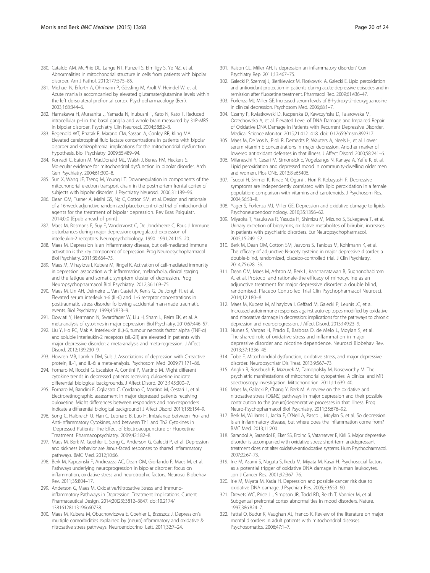- <span id="page-19-0"></span>280. Cataldo AM, McPhie DL, Lange NT, Punzell S, Elmiligy S, Ye NZ, et al. Abnormalities in mitochondrial structure in cells from patients with bipolar disorder. Am J Pathol. 2010;177:575–85.
- 281. Michael N, Erfurth A, Ohrmann P, Gössling M, Arolt V, Heindel W, et al. Acute mania is accompanied by elevated glutamate/glutamine levels within the left dorsolateral prefrontal cortex. Psychopharmacology (Berl). 2003;168:344–6.
- 282. Hamakawa H, Murashita J, Yamada N, Inubushi T, Kato N, Kato T. Reduced intracellular pH in the basal ganglia and whole brain measured by 31P-MRS in bipolar disorder. Psychiatry Clin Neurosci. 2004;58:82–8.
- 283. Regenold WT, Phatak P, Marano CM, Sassan A, Conley RR, Kling MA. Elevated cerebrospinal fluid lactate concentrations in patients with bipolar disorder and schizophrenia: implications for the mitochondrial dysfunction hypothesis. Biol Psychiatry. 2009;65:489–94.
- 284. Konradi C, Eaton M, MacDonald ML, Walsh J, Benes FM, Heckers S. Molecular evidence for mitochondrial dysfunction in bipolar disorder. Arch Gen Psychiatry. 2004;61:300–8.
- 285. Sun X, Wang JF, Tseng M, Young LT. Downregulation in components of the mitochondrial electron transport chain in the postmortem frontal cortex of subjects with bipolar disorder. J Psychiatry Neurosci. 2006;31:189–96.
- 286. Dean OM, Turner A, Malhi GS, Ng C, Cotton SM, et al. Design and rationale of a 16-week adjunctive randomized placebo-controlled trial of mitochondrial agents for the treatment of bipolar depression. Rev Bras Psiquiatr. 2014;0:0 [Epub ahead of print].
- 287. Maes M, Bosmans E, Suy E, Vandervorst C, De Jonckheere C, Raus J. Immune disturbances during major depression: upregulated expression of interleukin-2 receptors. Neuropsychobiology. 1990–1991;24:115–20.
- 288. Maes M. Depression is an inflammatory disease, but cell-mediated immune activation is the key component of depression. Prog Neuropsychopharmacol Biol Psychiatry. 2011;35:664–75.
- 289. Maes M, Mihaylova I, Kubera M, Ringel K. Activation of cell-mediated immunity in depression: association with inflammation, melancholia, clinical staging and the fatigue and somatic symptom cluster of depression. Prog Neuropsychopharmacol Biol Psychiatry. 2012;36:169–75.
- 290. Maes M, Lin AH, Delmeire L, Van Gastel A, Kenis G, De Jongh R, et al. Elevated serum interleukin-6 (IL-6) and IL-6 receptor concentrations in posttraumatic stress disorder following accidental man-made traumatic events. Biol Psychiatry. 1999;45:833–9.
- 291. Dowlati Y, Herrmann N, Swardfager W, Liu H, Sham L, Reim EK, et al. A meta-analysis of cytokines in major depression. Biol Psychiatry. 2010;67:446–57.
- 292. Liu Y, Ho RC, Mak A. Interleukin (IL)-6, tumour necrosis factor alpha (TNF-α) and soluble interleukin-2 receptors (sIL-2R) are elevated in patients with major depressive disorder: a meta-analysis and meta-regression. J Affect Disord. 2012;139:230–9.
- 293. Howren MB, Lamkin DM, Suls J. Associations of depression with C-reactive protein, IL-1, and IL-6: a meta-analysis. Psychosom Med. 2009;71:171–86.
- 294. Fornaro M, Rocchi G, Escelsior A, Contini P, Martino M. Might different cytokine trends in depressed patients receiving duloxetine indicate differential biological backgrounds. J Affect Disord. 2013;145:300–7.
- 295. Fornaro M, Bandini F, Ogliastro C, Cordano C, Martino M, Cestari L, et al. Electroretinographic assessment in major depressed patients receiving duloxetine: Might differences between responders and non-responders indicate a differential biological background? J Affect Disord. 2011;135:154–9.
- 296. Song C, Halbreich U, Han C, Leonard B, Luo H. Imbalance between Pro- and Anti-inflammatory Cytokines, and between Th1 and Th2 Cytokines in Depressed Patients: The Effect of Electroacupuncture or Fluoxetine Treatment. Pharmacopsychiatry. 2009;42:182–8.
- 297. Maes M, Berk M, Goehler L, Song C, Anderson G, Gałecki P, et al. Depression and sickness behavior are Janus-faced responses to shared inflammatory pathways. BMC Med. 2012;10:66.
- 298. Berk M, Kapczinski F, Andreazza AC, Dean OM, Giorlando F, Maes M, et al. Pathways underlying neuroprogression in bipolar disorder: focus on inflammation, oxidative stress and neurotrophic factors. Neurosci Biobehav Rev. 2011;35:804–17.
- 299. Anderson G, Maes M. Oxidative/Nitrosative Stress and Immunoinflammatory Pathways in Depression: Treatment Implications. Current Pharmaceutical Design. 2014;20(23):3812–3847. doi:10.2174/ 13816128113196660738.
- 300. Maes M, Kubera M, Obuchowiczwa E, Goehler L, Brzeszcz J. Depression's multiple comorbidities explained by (neuro)inflammatory and oxidative & nitrosative stress pathways. Neuroendocrinol Lett. 2011;32:7–24.
- 301. Raison CL, Miller AH. Is depression an inflammatory disorder? Curr Psychiatry Rep. 2011;13:467–75.
- 302. Gałecki P, Szemraj J, Bieńkiewicz M, Florkowski A, Gałecki E. Lipid peroxidation and antioxidant protection in patients during acute depressive episodes and in remission after fluoxetine treatment. Pharmacol Rep. 2009;61:436–47.
- 303. Forlenza MJ, Miller GE. Increased serum levels of 8-hydroxy-2'-deoxyguanosine in clinical depression. Psychosom Med. 2006;68:1–7.
- 304. Czarny P, Kwiatkowski D, Kacperska D, Kawczyńska D, Talarowska M, Orzechowska A, et al. Elevated Level of DNA Damage and Impaired Repair of Oxidative DNA Damage in Patients with Recurrent Depressive Disorder. Medical Science Monitor. 2015;21:412–418. doi:10.12659/msm.892317.
- 305. Maes M, De Vos N, Pioli R, Demedts P, Wauters A, Neels H, et al. Lower serum vitamin E concentrations in major depression. Another marker of lowered antioxidant defenses in that illness. J Affect Disord. 2000;58:241–6.
- 306. Milaneschi Y, Cesari M, Simonsick E, Vogelzangs N, Kanaya A, Yaffe K, et al. Lipid peroxidation and depressed mood in community-dwelling older men and women. Plos ONE. 2013;8:e65406.
- 307. Tsuboi H, Shimoi K, Kinae N, Oguni I, Hori R, Kobayashi F. Depressive symptoms are independently correlated with lipid peroxidation in a female population: comparison with vitamins and carotenoids. J Psychosom Res. 2004;56:53–8.
- 308. Yager S, Forlenza MJ, Miller GE. Depression and oxidative damage to lipids. Psychoneuroendocrinology. 2010;35:1356–62.
- 309. Miyaoka T, Yasukawa R, Yasuda H, Shimizu M, Mizuno S, Sukegawa T, et al. Urinary excretion of biopyrrins, oxidative metabolites of bilirubin, increases in patients with psychiatric disorders. Eur Neuropsychopharmacol. 2005;15:249–52.
- 310. Berk M, Dean OM, Cotton SM, Jeavons S, Tanious M, Kohlmann K, et al. The efficacy of adjunctive N-acetylcysteine in major depressive disorder: a double-blind, randomized, placebo-controlled trial. J Clin Psychiatry. 2014;75:628–36.
- 311. Dean OM, Maes M, Ashton M, Berk L, Kanchanatawan B, Sughondhabirom A, et al. Protocol and rationale-the efficacy of minocycline as an adjunctive treatment for major depressive disorder: a double blind, randomised. Placebo Controlled Trial Clin Psychopharmacol Neurosci. 2014;12:180–8.
- 312. Maes M, Kubera M, Mihaylova I, Geffard M, Galecki P, Leunis JC, et al. Increased autoimmune responses against auto-epitopes modified by oxidative and nitrosative damage in depression: implications for the pathways to chronic depression and neuroprogression. J Affect Disord. 2013;149:23–9.
- 313. Nunes S, Vargas H, Prado E, Barbosa D, de Melo L, Moylan S, et al. The shared role of oxidative stress and inflammation in major depressive disorder and nicotine dependence. Neurosci Biobehav Rev. 2013;37:1336–45.
- 314. Tobe E. Mitochondrial dysfunction, oxidative stress, and major depressive disorder. Neuropsychiatr Dis Treat. 2013;9:567–73.
- 315. Anglin R, Rosebush P, Mazurek M, Tarnopolsky M, Noseworthy M. The psychiatric manifestations of mitochondrial cytopathies: A clinical and MR spectroscopy investigation. Mitochondrion. 2011;11:639–40.
- 316. Maes M, Galecki P, Chang Y, Berk M. A review on the oxidative and nitrosative stress (O&NS) pathways in major depression and their possible contribution to the (neuro)degenerative processes in that illness. Prog Neuro-Psychopharmacol Biol Psychiatry. 2011;35:676–92.
- 317. Berk M, Williams L, Jacka F, O'Neil A, Pasco J, Moylan S, et al. So depression is an inflammatory disease, but where does the inflammation come from? BMC Med. 2013;11:200.
- 318. Sarandol A, Sarandol E, Eker SS, Erdinc S, Vatansever E, Kirli S. Major depressive disorder is accompanied with oxidative stress: short-term antidepressant treatment does not alter oxidative-antioxidative systems. Hum Psychopharmacol. 2007;22:67–73.
- 319. Irie M, Asami S, Nagata S, Ikeda M, Miyata M, Kasai H. Psychosocial factors as a potential trigger of oxidative DNA damage in human leukocytes. Jpn J Cancer Res. 2001;92:367–76.
- 320. Irie M, Miyata M, Kasia H. Depression and possible cancer risk due to oxidative DNA damage. J Psychiatr Res. 2005;39:553–60.
- 321. Drevets WC, Price JL, Simpson JR, Todd RD, Reich T, Vannier M, et al. Subgenual prefrontal cortex abnormalities in mood disorders. Nature. 1997;386:824–7.
- 322. Fattal O, Budur K, Vaughan AJ, Franco K. Review of the literature on major mental disorders in adult patients with mitochondrial diseases. Psychosomatics. 2006;47:1–7.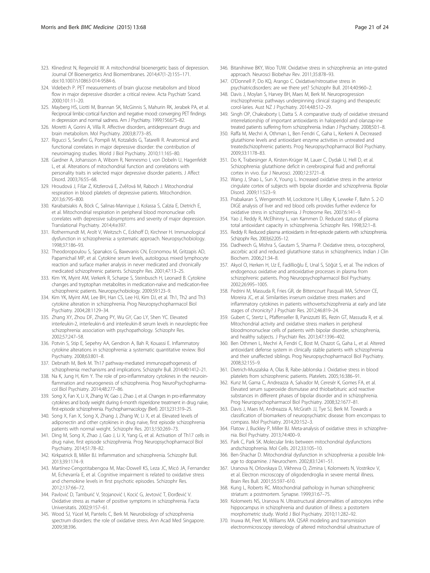- <span id="page-20-0"></span>323. Klinedinst N, Regenold W. A mitochondrial bioenergetic basis of depression. Journal Of Bioenergetics And Biomembranes. 2014;47(1-2):155–171. doi:10.1007/s10863-014-9584-6.
- 324. Videbech P. PET measurements of brain glucose metabolism and blood flow in major depressive disorder: a critical review. Acta Psychiatr Scand. 2000;101:11–20.
- 325. Mayberg HS, Liotti M, Brannan SK, McGinnis S, Mahurin RK, Jerabek PA, et al. Reciprocal limbic-cortical function and negative mood: converging PET findings in depression and normal sadness. Am J Psychiatry. 1999;156:675–82.
- 326. Moretti A, Gorini A, Villa R. Affective disorders, antidepressant drugs and brain metabolism. Mol Psychiatry. 2003;8:773–85.
- 327. Rigucci S, Serafini G, Pompili M, Kotzalidis G, Tatarelli R. Anatomical and functional correlates in major depressive disorder: the contribution of neuroimaging studies. World J Biol Psychiatry. 2010;11:165–80.
- 328. Gardner A, Johansson A, Wibom R, Nennesmo I, von Dobeln U, Hagenfeldt L, et al. Alterations of mitochondrial function and correlations with personality traits in selected major depressive disorder patients. J Affect Disord. 2003;76:55–68.
- 329. Hroudová J, Fišar Z, Kitzlerová E, Zvěřová M, Raboch J. Mitochondrial respiration in blood platelets of depressive patients. Mitochondrion. 2013;6:795–800.
- 330. Karabatsiakis A, Böck C, Salinas-Manrique J, Kolassa S, Calzia E, Dietrich E, et al. Mitochondrial respiration in peripheral blood mononuclear cells correlates with depressive subsymptoms and severity of major depression. Translational Psychiatry. 2014;4:e397.
- 331. Rothermundt M, Arolt V, Weitzsch C, Eckhoff D, Kirchner H. Immunological dysfunction in schizophrenia: a systematic approach. Neuropsychobiology. 1998;37:186–93.
- 332. Theodoropoulou S, Spanakos G, Baxevanis CN, Economou M, Gritzapis AD, Papamichail MP, et al. Cytokine serum levels, autologous mixed lymphocyte reaction and surface marker analysis in never medicated and chronically medicated schizophrenic patients. Schizophr Res. 2001;47:13–25.
- 333. Kim YK, Myint AM, Verkerk R, Scharpe S, Steinbusch H, Leonard B. Cytokine changes and tryptophan metabolites in medication-naïve and medication-free schizophrenic patients. Neuropsychobiology. 2009;59:123–9.
- 334. Kim YK, Myint AM, Lee BH, Han CS, Lee HJ, Kim DJ, et al. Th1, Th2 and Th3 cytokine alteration in schizophrenia. Prog Neuropsychopharmacol Biol Psychiatry. 2004;28:1129–34.
- 335. Zhang XY, Zhou DF, Zhang PY, Wu GY, Cao LY, Shen YC. Elevated interleukin-2, interleukin-6 and interleukin-8 serum levels in neuroleptic-free schizophrenia: association with psychopathology. Schizophr Res. 2002;57:247–58.
- 336. Potvin S, Stip E, Sepehry AA, Gendron A, Bah R, Kouassi E. Inflammatory cytokine alterations in schizophrenia: a systematic quantitative review. Biol Psychiatry. 2008;63:801–8.
- 337. Debnath M, Berk M. Th17 pathway-mediated immunopathogenesis of schizophrenia: mechanisms and implications. Schizophr Bull. 2014;40:1412–21.
- 338. Na K, Jung H, Kim Y. The role of pro-inflammatory cytokines in the neuroinflammation and neurogenesis of schizophrenia. Prog NeuroPsychopharmacol Biol Psychiatry. 2014;48:277–86.
- 339. Song X, Fan X, Li X, Zhang W, Gao J, Zhao J, et al. Changes in pro-inflammatory cytokines and body weight during 6-month risperidone treatment in drug naïve, first-episode schizophrenia. Psychopharmacology (Berl). 2013;231:319–25.
- 340. Song X, Fan X, Song X, Zhang J, Zhang W, Li X, et al. Elevated levels of adiponectin and other cytokines in drug naive, first episode schizophrenia patients with normal weight. Schizophr Res. 2013;150:269–73.
- 341. Ding M, Song X, Zhao J, Gao J, Li X, Yang G, et al. Activation of Th17 cells in drug naïve, first episode schizophrenia. Prog Neuropsychopharmacol Biol Psychiatry. 2014;51:78–82.
- 342. Kirkpatrick B, Miller BJ. Inflammation and schizophrenia. Schizophr Bull. 2013;39:1174–9.
- 343. Martínez-Cengotitabengoa M, Mac-Dowell KS, Leza JC, Micó JA, Fernandez M, Echevarría E, et al. Cognitive impairment is related to oxidative stress and chemokine levels in first psychotic episodes. Schizophr Res. 2012;137:66–72.
- 344. Pavlović D, Tamburić V, Stojanović I, Kocić G, Jevtović T, Đorđević V. Oxidative stress as marker of positive symptoms in schizophrenia. Facta Universitatis. 2002;9:157–61.
- 345. Wood SJ, Yücel M, Pantelis C, Berk M. Neurobiology of schizophrenia spectrum disorders: the role of oxidative stress. Ann Acad Med Singapore. 2009;38:396.
- 346. Bitanihirwe BKY, Woo TUW. Oxidative stress in schizophrenia: an inte-grated approach. Neurosci Biobehav Rev. 2011;35:878–93.
- 347. O'Donnell P, Do KQ, Arango C. Oxidative/nitrosative stress in psychiatricdisorders: are we there yet? Schizophr Bull. 2014;40:960–2.
- 348. Davis J, Moylan S, Harvey BH, Maes M, Berk M. Neuroprogression inschizophrenia: pathways underpinning clinical staging and therapeutic corol-laries. Aust NZ J Psychiatry. 2014;48:512–29.
- 349. Singh OP, Chakraborty I, Datta S. A comparative study of oxidative stressand interrelationship of important antioxidants in haloperidol and olanzap-ine treated patients suffering from schizophrenia. Indian J Psychiatry. 2008;50:1–8.
- 350. Raffa M, Mechri A, Othman L, Ben Fendri C, Gaha L, Kerkeni A. Decreased glutathione levels and antioxidant enzyme activities in untreated and treatedschizophrenic patients. Prog Neuropsychopharmacol Biol Psychiatry. 2009;33:1178–83.
- 351. Do K, Trabesinger A, Kirsten-Krüger M, Lauer C, Dydak U, Hell D, et al. Schizophrenia: glutathione deficit in cerebrospinal fluid and prefrontal cortex in vivo. Eur J Neurosci. 2000;12:3721–8.
- 352. Wang J, Shao L, Sun X, Young L. Increased oxidative stress in the anterior cingulate cortex of subjects with bipolar disorder and schizophrenia. Bipolar Disord. 2009;11:523–9.
- 353. Prabakaran S, Wengenroth M, Lockstone H, Lilley K, Leweke F, Bahn S. 2-D DIGE analysis of liver and red blood cells provides further evidence for oxidative stress in schizophrenia. J Proteome Res. 2007;6:141–9.
- 354. Yao J, Reddy R, McElhinny L, van Kammen D. Reduced status of plasma total antioxidant capacity in schizophrenia. Schizophr Res. 1998;32:1–8.
- 355. Reddy R. Reduced plasma antioxidants in first-episode patients with schizophrenia. Schizophr Res. 2003;62:205–12.
- 356. Dadheech G, Mishra S, Gautam S, Sharma P. Oxidative stress, α-tocopherol, ascorbic acid and reduced glutathione status in schizophrenics. Indian J Clin Biochem. 2006;21:34–8.
- 357. Akyol O, Herken H, Uz E, Fadillioğlu E, Unal S, Söğüt S, et al. The indices of endogenous oxidative and antioxidative processes in plasma from schizophrenic patients. Prog Neuropsychopharmacol Biol Psychiatry. 2002;26:995–1005.
- 358. Pedrini M, Massuda R, Fries GR, de Bittencourt Pasquali MA, Schnorr CE, Moreira JC, et al. Similarities inserum oxidative stress markers and inflammatory cytokines in patients withovertschizophrenia at early and late stages of chronicity? J Psychiatr Res. 2012;46:819–24.
- 359. Gubert C, Stertz L, Pfaffenseller B, Panizzutti BS, Rezin GT, Massuda R, et al. Mitochondrial activity and oxidative stress markers in peripheral bloodmononuclear cells of patients with bipolar disorder, schizophrenia, and healthy subjects. J Psychiatr Res. 2013;47:1396–402.
- 360. Ben Othmen L, Mechri A, Fendri C, Bost M, Chazot G, Gaha L, et al. Altered antioxidant defense system in clinically stable patients with schizophrenia and their unaffected siblings. Prog Neuropsychopharmacol Biol Psychiatry. 2008;32:155–9.
- 361. Dietrich-Muszalska A, Olas B, Rabe-Jablonska J. Oxidative stress in blood platelets from schizophrenic patients. Platelets. 2005;16:386–91.
- 362. Kunz M, Gama C, Andreazza A, Salvador M, Ceresér K, Gomes FA, et al. Elevated serum superoxide dismutase and thiobarbituric acid reactive substances in different phases of bipolar disorder and in schizophrenia. Prog Neuropsychopharmacol Biol Psychiatry. 2008;32:1677–81.
- 363. Davis J, Maes M, Andreazza A, McGrath JJ, Tye SJ, Berk M. Towards a classification of biomarkers of neuropsychiatric disease: from encompass to compass. Mol Psychiatry. 2014;20:152–3.
- 364. Flatow J, Buckley P, Miller BJ. Meta-analysis of oxidative stress in schizophrenia. Biol Psychiatry. 2013;74:400–9.
- 365. Park C, Park SK. Molecular links between mitochondrial dysfunctions andschizophrenia. Mol Cells. 2012;33:105–10.
- 366. Ben-Shachar D. Mitochondrial dysfunction in schizophrenia: a possible linkage to dopamine. J Neurochem. 2002;83:1241–51.
- 367. Uranova N, Orlovskaya D, Vikhreva O, Zimina I, Kolomeets N, Vostrikov V, et al. Electron microscopy of oligodendroglia in severe mental illness. Brain Res Bull. 2001;55:597–610.
- 368. Kung L, Roberts RC. Mitochondrial pathology in human schizophrenic striatum: a postmortem. Synapse. 1999;31:67–75.
- 369. Kolomeets NS, Uranova N. Ultrastructural abnormalities of astrocytes inthe hippocampus in schizophrenia and duration of illness: a postortem morphometric study. World J Biol Psychiatry. 2010;11:282–92.
- 370. Inuwa IM, Peet M, Williams MA. QSAR modeling and transmission electronmicroscopy stereology of altered mitochondrial ultrastructure of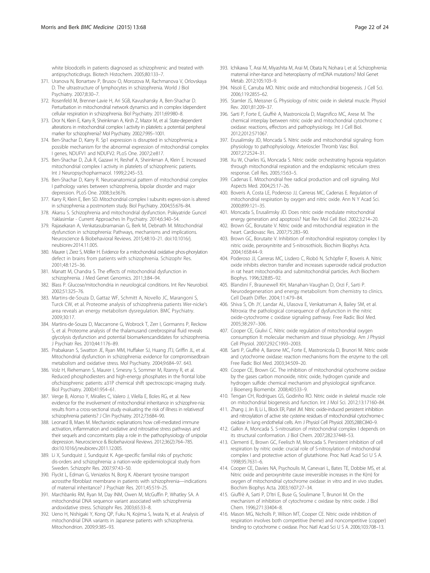<span id="page-21-0"></span>white bloodcells in patients diagnosed as schizophrenic and treated with antipsychoticdrugs. Biotech Histochem. 2005;80:133–7.

- 371. Uranova N, Bonartsev P, Brusov O, Morozova M, Rachmanova V, Orlovskaya D. The ultrastructure of lymphocytes in schizophrenia. World J Biol Psychiatry. 2007;8:30–7.
- 372. Rosenfeld M, Brenner-Lavie H, Ari SGB, Kavushansky A, Ben-Shachar D. Perturbation in mitochondrial network dynamics and in complex Idependent cellular respiration in schizophrenia. Biol Psychiatry. 2011;69:980–8.
- 373. Dror N, Klein E, Karry R, Sheinkman A, Kirsh Z, Mazor M, et al. State-dependent alterations in mitochondrial complex I activity in platelets: a potential peripheral marker for schizophrenia? Mol Psychiatry. 2002;7:995–1001.
- 374. Ben-Shachar D, Karry R. Sp1 expression is disrupted in schizophrenia; a possible mechanism for the abnormal expression of mitochondrial complex I genes, NDUFV1 and NDUFV2. PLoS One. 2007;2:e817.
- 375. Ben-Shachar D, Zuk R, Gazawi H, Reshef A, Sheinkman A, Klein E. Increased mitochondrial complex I activity in platelets of schizophrenic patients. Int J Neuropsychopharmacol. 1999;2:245-53.
- 376. Ben-Shachar D, Karry R. Neuroanatomical pattern of mitochondrial complex I pathology varies between schizophrenia, bipolar disorder and major depression. PLoS One. 2008;3:e3676.
- 377. Karry R, Klein E, Ben SD. Mitochondrial complex I subunits expres-sion is altered in schizophrenia: a postmortem study. Biol Psychiatry. 2004;55:676–84.
- 378. Akarsu S. Schizophrenia and mitochondrial dysfunction. Psikiyatride Guncel Yaklasimlar - Current Approaches In Psychiatry. 2014;6:340–54.
- 379. Rajasekaran A, Venkatasubramanian G, Berk M, Debnath M. Mitochondrial dysfunction in schizophrenia: Pathways, mechanisms and implications. Neuroscience & Biobehavioral Reviews. 2015;48:10–21. doi:10.1016/j. neubiorev.2014.11.005.
- 380. Maurer I, Zierz S, Möller H. Evidence for a mitochondrial oxidative phos-phorylation defect in brains from patients with schizophrenia. Schizophr Res. 2001;48:125–36.
- 381. Manatt M, Chandra S. The effects of mitochondrial dysfunction in schizophrenia. J Med Genet Genomics. 2011;3:84–94.
- 382. Blass P. Glucose/mitochondria in neurological conditions. Int Rev Neurobiol. 2002;51:325–76.
- 383. Martins-de-Souza D, Gattaz WF, Schmitt A, Novello JC, Marangoni S, Turck CW, et al. Proteome analysis of schizophrenia patients Wer-nicke's area reveals an energy metabolism dysregulation. BMC Psychiatry. 2009;30:17.
- 384. Martins-de-Souza D, Maccarrone G, Wobrock T, Zerr I, Gormanns P, Reckow S, et al. Proteome analysis of the thalamusand cerebrospinal fluid reveals glycolysis dysfunction and potential biomarkerscandidates for schizophrenia. J Psychiatr Res. 2010;44:1176–89.
- 385. Prabakaran S, Swatton JE, Ryan MM, Huffaker SJ, Huang JTJ, Griffin JL, et al. Mitochondrial dysfunction in schizophrenia: evidence for compromisedbrain metabolism and oxidative stress. Mol Psychiatry. 2004;9:684–97. 643.
- 386. Volz H, Riehemann S, Maurer I, Smesny S, Sommer M, Rzanny R, et al. Reduced phosphodiesters and high-energy phosphates in the frontal lobe ofschizophrenic patients: a31P chemical shift spectroscopic-imaging study. Biol Psychiatry. 2000;41:954–61.
- 387. Verge B, Alonso Y, Miralles C, Valero J, Vilella E, Boles RG, et al. New evidence for the involvement of mitochondrial inheritance in schizophre-nia: results from a cross-sectional study evaluating the risk of illness in relativesof schizophrenia patients? J Clin Psychiatry. 2012;73:684–90.
- 388. Leonard B, Maes M. Mechanistic explanations how cell-mediated immune activation, inflammation and oxidative and nitrosative stress pathways and their sequels and concomitants play a role in the pathophysiology of unipolar depression. Neuroscience & Biobehavioral Reviews. 2012;36(2):764–785. doi:10.1016/j.neubiorev.2011.12.005.
- 389. Li X, Sundquist J, Sundquist K. Age-specific familial risks of psychotic dis-orders and schizophrenia: a nation-wide epidemiological study from Sweden. Schizophr Res. 2007;97:43–50.
- 390. Flyckt L, Edman G, Venizelos N, Borg K. Aberrant tyrosine transport acrossthe fibroblast membrane in patients with schizophrenia—indications of maternal inheritance? J Psychiatr Res. 2011;45:519–25.
- 391. Marchbanks RM, Ryan M, Day INM, Owen M, McGuffin P, Whatley SA. A mitochondrial DNA sequence variant associated with schizophrenia andoxidative stress. Schizophr Res. 2003;65:33–8.
- 392. Ueno H, Nishigaki Y, Kong QP, Fuku N, Kojima S, Iwata N, et al. Analysis of mitochondrial DNA variants in Japanese patients with schizophrenia. Mitochondrion. 2009;9:385–93.
- 393. Ichikawa T, Arai M, Miyashita M, Arai M, Obata N, Nohara I, et al. Schizophrenia: maternal inher-itance and heteroplasmy of mtDNA mutations? Mol Genet Metab. 2012;105:103–9.
- 394. Nisoli E, Carruba MO. Nitric oxide and mitochondrial biogenesis. J Cell Sci. 2006;119:2855–62.
- 395. Stamler JS, Meissner G. Physiology of nitric oxide in skeletal muscle. Physiol Rev. 2001;81:209–37.
- 396. Sarti P, Forte E, Giuffrè A, Mastronicola D, Magnifico MC, Arese M. The chemical interplay between nitric oxide and mitochondrial cytochrome c oxidase: reactions, effectors and pathophysiology. Int J Cell Biol. 2012;2012:571067.
- 397. Erusalimsky JD, Moncada S. Nitric oxide and mitochondrial signaling: from physiology to pathophysiology. Arterioscler Thromb Vasc Biol. 2007;27:2524–31.
- 398. Xu W, Charles IG, Moncada S. Nitric oxide: orchestrating hypoxia regulation through mitochondrial respiration and the endoplasmic reticulum stress response. Cell Res. 2005;15:63–5.
- 399. Cadenas E. Mitochondrial free radical production and cell signaling. Mol Aspects Med. 2004;25:17–26.
- 400. Boveris A, Costa LE, Poderoso JJ, Carreras MC, Cadenas E. Regulation of mitochondrial respiration by oxygen and nitric oxide. Ann N Y Acad Sci. 2000;899:121–35.
- 401. Moncada S, Erusalimsky JD. Does nitric oxide modulate mitochondrial energy generation and apoptosis? Nat Rev Mol Cell Biol. 2002;3:214–20.
- 402. Brown GC, Borutaite V. Nitric oxide and mitochondrial respiration in the heart. Cardiovasc Res. 2007;75:283–90.
- 403. Brown GC, Borutaite V. Inhibition of mitochondrial respiratory complex I by nitric oxide, peroxynitrite and S-nitrosothiols. Biochim Biophys Acta. 2004;1658:44–9.
- 404. Poderoso JJ, Carreras MC, Lisdero C, Riobó N, Schöpfer F, Boveris A. Nitric oxide inhibits electron transfer and increases superoxide radical production in rat heart mitochondria and submitochondrial particles. Arch Biochem Biophys. 1996;328:85–92.
- 405. Blandini F, Braunewell KH, Manahan-Vaughan D, Orzi F, Sarti P. Neurodegeneration and energy metabolism: from chemistry to clinics. Cell Death Differ. 2004;11:479–84.
- 406. Shiva S, Oh JY, Landar AL, Ulasova E, Venkatraman A, Bailey SM, et al. Nitroxia: the pathological consequence of dysfunction in the nitric oxide-cytochrome c oxidase signaling pathway. Free Radic Biol Med. 2005;38:297–306.
- 407. Cooper CE, Giulivi C. Nitric oxide regulation of mitochondrial oxygen consumption II: molecular mechanism and tissue physiology. Am J Physiol Cell Physiol. 2007;292:C1993–2003.
- 408. Sarti P, Giuffrè A, Barone MC, Forte E, Mastronicola D, Brunori M. Nitric oxide and cytochrome oxidase: reaction mechanisms from the enzyme to the cell. Free Radic Biol Med. 2003;34:509–20.
- 409. Cooper CE, Brown GC. The inhibition of mitochondrial cytochrome oxidase by the gases carbon monoxide, nitric oxide, hydrogen cyanide and hydrogen sulfide: chemical mechanism and physiological significance. J Bioenerg Biomembr. 2008;40:533–9.
- 410. Tengan CH, Rodrigues GS, Godinho RO. Nitric oxide in skeletal muscle: role on mitochondrial biogenesis and function. Int J Mol Sci. 2012;13:17160–84.
- 411. Zhang J, Jin B, Li L, Block ER, Patel JM. Nitric oxide-induced persistent inhibition and nitrosylation of active site cysteine residues of mitochondrial cytochrome-c oxidase in lung endothelial cells. Am J Physiol Cell Physiol. 2005;288:C840–9.
- 412. Galkin A, Moncada S. S-nitrosation of mitochondrial complex I depends on its structural conformation. J Biol Chem. 2007;282:37448–53.
- 413. Clementi E, Brown GC, Feelisch M, Moncada S. Persistent inhibition of cell respiration by nitric oxide: crucial role of S-nitrosylation of mitochondrial complex I and protective action of glutathione. Proc Natl Acad Sci U S A. 1998;95:7631–6.
- 414. Cooper CE, Davies NA, Psychoulis M, Canevari L, Bates TE, Dobbie MS, et al. Nitric oxide and peroxynitrite cause irreversible increases in the K(m) for oxygen of mitochondrial cytochrome oxidase: in vitro and in vivo studies. Biochim Biophys Acta. 2003;1607:27–34.
- 415. Giuffrè A, Sarti P, D'Itri E, Buse G, Soulimane T, Brunori M. On the mechanism of inhibition of cytochrome c oxidase by nitric oxide. J Biol Chem. 1996;271:33404–8.
- 416. Mason MG, Nicholls P, Wilson MT, Cooper CE. Nitric oxide inhibition of respiration involves both competitive (heme) and noncompetitive (copper) binding to cytochrome c oxidase. Proc Natl Acad Sci U S A. 2006;103:708–13.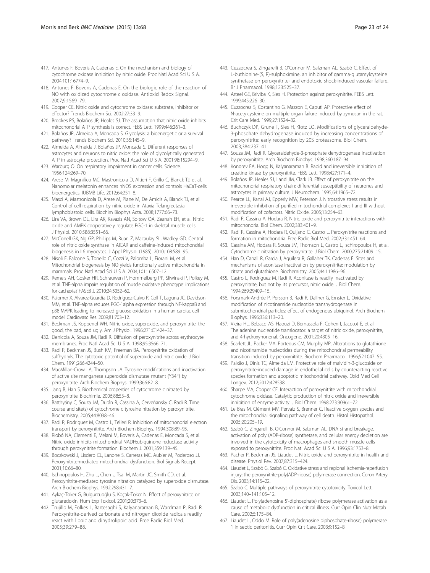- <span id="page-22-0"></span>417. Antunes F, Boveris A, Cadenas E. On the mechanism and biology of cytochrome oxidase inhibition by nitric oxide. Proc Natl Acad Sci U S A. 2004;101:16774–9.
- 418. Antunes F, Boveris A, Cadenas E. On the biologic role of the reaction of NO with oxidized cytochrome c oxidase. Antioxid Redox Signal. 2007;9:1569–79.
- 419. Cooper CE. Nitric oxide and cytochrome oxidase: substrate, inhibitor or effector? Trends Biochem Sci. 2002;27:33–9.
- 420. Brookes PS, Bolaños JP, Heales SJ. The assumption that nitric oxide inhibits mitochondrial ATP synthesis is correct. FEBS Lett. 1999;446:261–3.
- 421. Bolaños JP, Almeida A, Moncada S. Glycolysis: a bioenergetic or a survival pathway? Trends Biochem Sci. 2010;35:145–9.
- 422. Almeida A, Almeida J, Bolaños JP, Moncada S. Different responses of astrocytes and neurons to nitric oxide: the role of glycolytically generated ATP in astrocyte protection. Proc Natl Acad Sci U S A. 2001;98:15294–9.
- 423. Warburg O. On respiratory impairment in cancer cells. Science. 1956;124:269–70.
- 424. Arese M, Magnifico MC, Mastronicola D, Altieri F, Grillo C, Blanck TJ, et al. Nanomolar melatonin enhances nNOS expression and controls HaCaT-cells bioenergetics. IUBMB Life. 2012;64:251–8.
- 425. Masci A, Mastronicola D, Arese M, Piane M, De Amicis A, Blanck TJ, et al. Control of cell respiration by nitric oxide in Ataxia Telangiectasia lymphoblastoid cells. Biochim Biophys Acta. 2008;1777:66–73.
- 426. Lira VA, Brown DL, Lira AK, Kavazis AN, Soltow QA, Zeanah EH, et al. Nitric oxide and AMPK cooperatively regulate PGC-1 in skeletal muscle cells. J Physiol. 2010;588:3551–66.
- 427. McConell GK, Ng GP, Phillips M, Ruan Z, Macaulay SL, Wadley GD. Central role of nitric oxide synthase in AICAR and caffeine-induced mitochondrial biogenesis in L6 myocytes. J Appl Physiol (1985). 2010;108:589–95.
- 428. Nisoli E, Falcone S, Tonello C, Cozzi V, Palomba L, Fiorani M, et al. Mitochondrial biogenesis by NO yields functionally active mitochondria in mammals. Proc Natl Acad Sci U S A. 2004;101:16507–12.
- 429. Remels AH, Gosker HR, Schrauwen P, Hommelberg PP, Sliwinski P, Polkey M, et al. TNF-alpha impairs regulation of muscle oxidative phenotype: implications for cachexia? FASEB J. 2010;24:5052–62.
- 430. Palomer X, Alvarez-Guardia D, Rodríguez-Calvo R, Coll T, Laguna JC, Davidson MM, et al. TNF-alpha reduces PGC-1alpha expression through NF-kappaB and p38 MAPK leading to increased glucose oxidation in a human cardiac cell model. Cardiovasc Res. 2009;81:703–12.
- 431. Beckman JS, Koppenol WH. Nitric oxide, superoxide, and peroxynitrite: the good, the bad, and ugly. Am J Physiol. 1996;271:C1424–37.
- 432. Denicola A, Souza JM, Radi R. Diffusion of peroxynitrite across erythrocyte membranes. Proc Natl Acad Sci U S A. 1998;95:3566–71.
- 433. Radi R, Beckman JS, Bush KM, Freeman BA. Peroxynitrite oxidation of sulfhydryls. The cytotoxic potential of superoxide and nitric oxide. J Biol Chem. 1991;266:4244–50.
- 434. MacMillan-Crow LA, Thompson JA. Tyrosine modifications and inactivation of active site manganese superoxide dismutase mutant (Y34F) by peroxynitrite. Arch Biochem Biophys. 1999;366:82–8.
- 435. Jang B, Han S. Biochemical properties of cytochrome c nitrated by peroxynitrite. Biochimie. 2006;88:53–8.
- 436. Batthyány C, Souza JM, Durán R, Cassina A, Cerveñansky C, Radi R. Time course and site(s) of cytochrome c tyrosine nitration by peroxynitrite. Biochemistry. 2005;44:8038–46.
- 437. Radi R, Rodriguez M, Castro L, Telleri R. Inhibition of mitochondrial electron transport by peroxynitrite. Arch Biochem Biophys. 1994;308:89–95.
- 438. Riobó NA, Clementi E, Melani M, Boveris A, Cadenas E, Moncada S, et al. Nitric oxide inhibits mitochondrial NADH:ubiquinone reductase activity through peroxynitrite formation. Biochem J. 2001;359:139–45.
- 439. Boczkowski J, Lisdero CL, Lanone S, Carreras MC, Aubier M, Poderoso JJ. Peroxynitrite-mediated mitochondrial dysfunction. Biol Signals Recept. 2001;10:66–80.
- 440. Ischiropoulos H, Zhu L, Chen J, Tsai M, Martin JC, Smith CD, et al. Peroxynitrite-mediated tyrosine nitration catalyzed by superoxide dismutase. Arch Biochem Biophys. 1992;298:431–7.
- 441. Aykaç-Toker G, Bulgurcuoğlu S, Koçak-Toker N. Effect of peroxynitrite on glutaredoxin. Hum Exp Toxicol. 2001;20:373–6.
- 442. Trujillo M, Folkes L, Bartesaghi S, Kalyanaraman B, Wardman P, Radi R. Peroxynitrite-derived carbonate and nitrogen dioxide radicals readily react with lipoic and dihydrolipoic acid. Free Radic Biol Med. 2005;39:279–88.
- 443. Cuzzocrea S, Zingarelli B, O'Connor M, Salzman AL, Szabó C. Effect of L-buthionine-(S, R)-sulphoximine, an inhibitor of gamma-glutamylcysteine synthetase on peroxynitrite- and endotoxic shock-induced vascular failure. Br J Pharmacol. 1998;123:525–37.
- 444. Arteel GE, Briviba K, Sies H. Protection against peroxynitrite. FEBS Lett. 1999;445:226–30.
- 445. Cuzzocrea S, Costantino G, Mazzon E, Caputi AP. Protective effect of N-acetylcysteine on multiple organ failure induced by zymosan in the rat. Crit Care Med. 1999;27:1524–32.
- 446. Buchczyk DP, Grune T, Sies H, Klotz LO. Modifications of glyceraldehyde-3-phosphate dehydrogenase induced by increasing concentrations of peroxynitrite: early recognition by 20S proteasome. Biol Chem. 2003;384:237–41.
- 447. Souza JM, Radi R. Glyceraldehyde-3-phosphate dehydrogenase inactivation by peroxynitrite. Arch Biochem Biophys. 1998;360:187–94.
- 448. Konorev EA, Hogg N, Kalyanaraman B. Rapid and irreversible inhibition of creatine kinase by peroxynitrite. FEBS Lett. 1998;427:171–4.
- 449. Bolaños JP, Heales SJ, Land JM, Clark JB. Effect of peroxynitrite on the mitochondrial respiratory chain: differential susceptibility of neurones and astrocytes in primary culture. J Neurochem. 1995;64:1965–72.
- 450. Pearce LL, Kanai AJ, Epperly MW, Peterson J. Nitrosative stress results in irreversible inhibition of purified mitochondrial complexes I and III without modification of cofactors. Nitric Oxide. 2005;13:254–63.
- 451. Radi R, Cassina A, Hodara R. Nitric oxide and peroxynitrite interactions with mitochondria. Biol Chem. 2002;383:401–9.
- 452. Radi R, Cassina A, Hodara R, Quijano C, Castro L. Peroxynitrite reactions and formation in mitochondria. Free Radic Biol Med. 2002;33:1451–64.
- 453. Cassina AM, Hodara R, Souza JM, Thomson L, Castro L, Ischiropoulos H, et al. Cytochrome c nitration by peroxynitrite. J Biol Chem. 2000;275:21409–15.
- 454. Han D, Canali R, Garcia J, Aguilera R, Gallaher TK, Cadenas E. Sites and mechanisms of aconitase inactivation by peroxynitrite: modulation by citrate and glutathione. Biochemistry. 2005;44:11986–96.
- 455. Castro L, Rodriguez M, Radi R. Aconitase is readily inactivated by peroxynitrite, but not by its precursor, nitric oxide. J Biol Chem. 1994;269:29409–15.
- 456. Forsmark-Andrée P, Persson B, Radi R, Dallner G, Ernster L. Oxidative modification of nicotinamide nucleotide transhydrogenase in submitochondrial particles: effect of endogenous ubiquinol. Arch Biochem Biophys. 1996;336:113–20.
- 457. Vieira HL, Belzacq AS, Haouzi D, Bernassola F, Cohen I, Jacotot E, et al. The adenine nucleotide translocator: a target of nitric oxide, peroxynitrite, and 4-hydroxynonenal. Oncogene. 2001;20:4305–16.
- 458. Scarlett JL, Packer MA, Porteous CM, Murphy MP. Alterations to glutathione and nicotinamide nucleotides during the mitochondrial permeability transition induced by peroxynitrite. Biochem Pharmacol. 1996;52:1047–55.
- 459. Paixão J, Dinis TC, Almeida LM. Protective role of malvidin-3-glucoside on peroxynitrite-induced damage in endothelial cells by counteracting reactive species formation and apoptotic mitochondrial pathway. Oxid Med Cell Longev. 2012;2012:428538.
- 460. Sharpe MA, Cooper CE. Interaction of peroxynitrite with mitochondrial cytochrome oxidase. Catalytic production of nitric oxide and irreversible inhibition of enzyme activity. J Biol Chem. 1998;273:30961–72.
- 461. Le Bras M, Clément MV, Pervaiz S, Brenner C. Reactive oxygen species and the mitochondrial signaling pathway of cell death. Histol Histopathol. 2005;20:205–19.
- 462. Szabó C, Zingarelli B, O'Connor M, Salzman AL. DNA strand breakage, activation of poly (ADP-ribose) synthetase, and cellular energy depletion are involved in the cytotoxicity of macrophages and smooth muscle cells exposed to peroxynitrite. Proc Natl Acad Sci U S A. 1996;93:1753–8.
- 463. Pacher P, Beckman JS, Liaudet L. Nitric oxide and peroxynitrite in health and disease. Physiol Rev. 2007;87:315–424.
- 464. Liaudet L, Szabó G, Szabó C. Oxidative stress and regional ischemia-reperfusion injury: the peroxynitrite-poly(ADP-ribose) polymerase connection. Coron Artery Dis. 2003;14:115–22.
- 465. Szabó C. Multiple pathways of peroxynitrite cytotoxicity. Toxicol Lett. 2003;140–141:105–12.
- 466. Liaudet L. Poly(adenosine 5'-diphosphate) ribose polymerase activation as a cause of metabolic dysfunction in critical illness. Curr Opin Clin Nutr Metab Care. 2002;5:175–84.
- 467. Liaudet L, Oddo M. Role of poly(adenosine diphosphate-ribose) polymerase 1 in septic peritonitis. Curr Opin Crit Care. 2003;9:152–8.